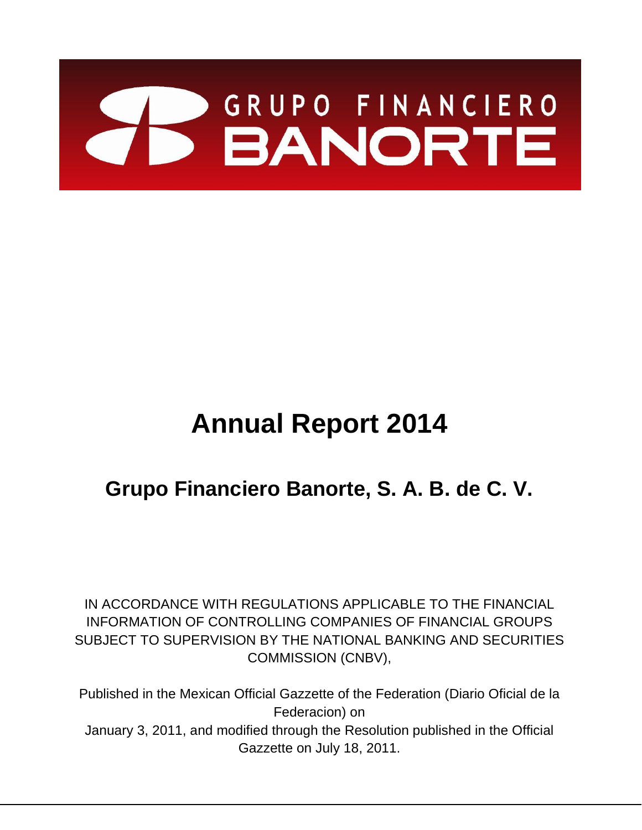

# **Annual Report 2014**

# **Grupo Financiero Banorte, S. A. B. de C. V.**

IN ACCORDANCE WITH REGULATIONS APPLICABLE TO THE FINANCIAL INFORMATION OF CONTROLLING COMPANIES OF FINANCIAL GROUPS SUBJECT TO SUPERVISION BY THE NATIONAL BANKING AND SECURITIES COMMISSION (CNBV),

Published in the Mexican Official Gazzette of the Federation (Diario Oficial de la Federacion) on January 3, 2011, and modified through the Resolution published in the Official Gazzette on July 18, 2011.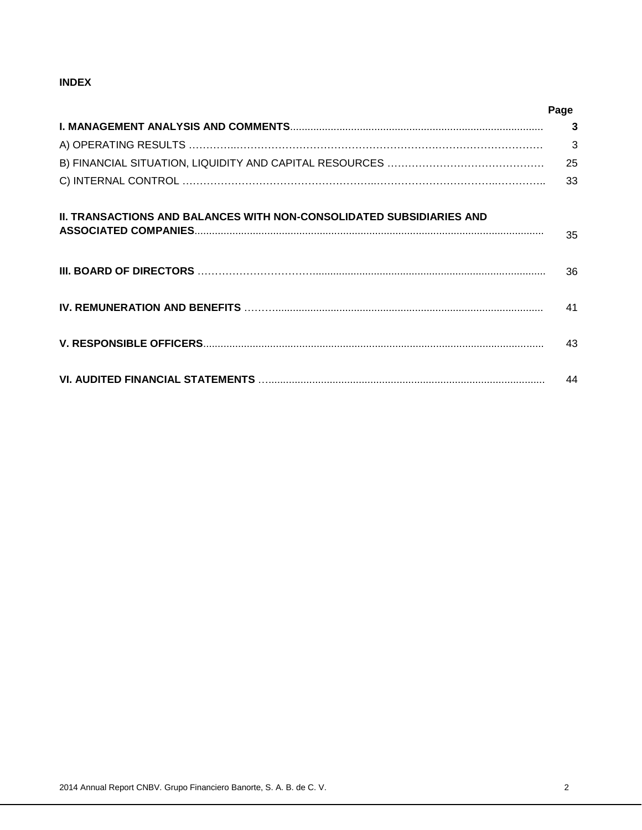# **INDEX**

|                                                                             | Page |
|-----------------------------------------------------------------------------|------|
|                                                                             | 3    |
|                                                                             | 3    |
|                                                                             | 25   |
|                                                                             | 33   |
| <b>II. TRANSACTIONS AND BALANCES WITH NON-CONSOLIDATED SUBSIDIARIES AND</b> | 35   |
|                                                                             | 36   |
|                                                                             | 41   |
|                                                                             | 43   |
|                                                                             | 44   |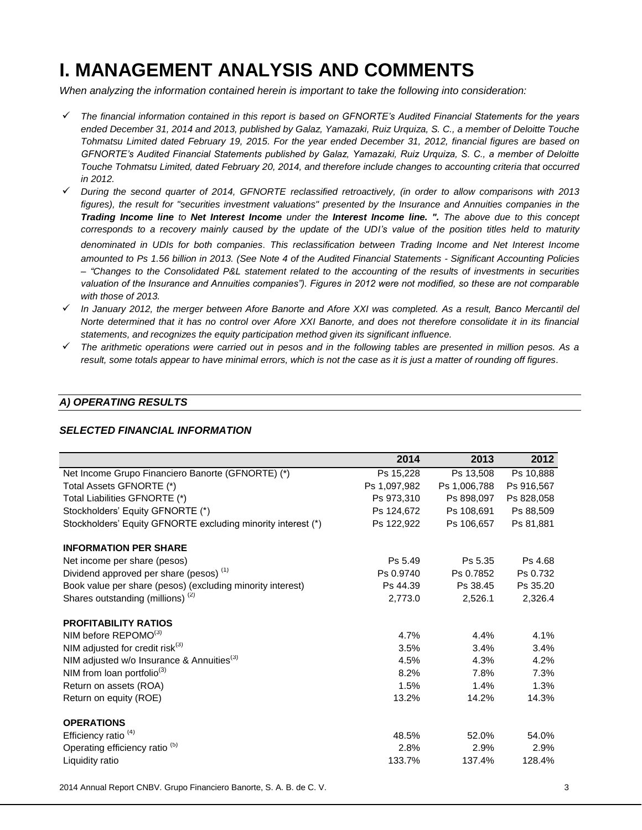# **I. MANAGEMENT ANALYSIS AND COMMENTS**

*When analyzing the information contained herein is important to take the following into consideration:* 

- *The financial information contained in this report is based on GFNORTE's Audited Financial Statements for the years ended December 31, 2014 and 2013, published by Galaz, Yamazaki, Ruiz Urquiza, S. C., a member of Deloitte Touche Tohmatsu Limited dated February 19, 2015. For the year ended December 31, 2012, financial figures are based on GFNORTE's Audited Financial Statements published by Galaz, Yamazaki, Ruiz Urquiza, S. C., a member of Deloitte Touche Tohmatsu Limited, dated February 20, 2014, and therefore include changes to accounting criteria that occurred in 2012.*
- *During the second quarter of 2014, GFNORTE reclassified retroactively, (in order to allow comparisons with 2013 figures), the result for "securities investment valuations" presented by the Insurance and Annuities companies in the Trading Income line to Net Interest Income under the Interest Income line. ". The above due to this concept corresponds to a recovery mainly caused by the update of the UDI's value of the position titles held to maturity denominated in UDIs for both companies*. *This reclassification between Trading Income and Net Interest Income amounted to Ps 1.56 billion in 2013. (See Note 4 of the Audited Financial Statements - Significant Accounting Policies – "Changes to the Consolidated P&L statement related to the accounting of the results of investments in securities*  valuation of the Insurance and Annuities companies"). Figures in 2012 were not modified, so these are not comparable *with those of 2013.*
- *In January 2012, the merger between Afore Banorte and Afore XXI was completed. As a result, Banco Mercantil del Norte determined that it has no control over Afore XXI Banorte, and does not therefore consolidate it in its financial statements, and recognizes the equity participation method given its significant influence.*
- *The arithmetic operations were carried out in pesos and in the following tables are presented in million pesos. As a result, some totals appear to have minimal errors, which is not the case as it is just a matter of rounding off figures.*

# *A) OPERATING RESULTS*

### *SELECTED FINANCIAL INFORMATION*

|                                                              | 2014         | 2013         | 2012       |
|--------------------------------------------------------------|--------------|--------------|------------|
|                                                              |              |              |            |
| Net Income Grupo Financiero Banorte (GFNORTE) (*)            | Ps 15,228    | Ps 13,508    | Ps 10,888  |
| Total Assets GFNORTE (*)                                     | Ps 1,097,982 | Ps 1,006,788 | Ps 916,567 |
| Total Liabilities GFNORTE (*)                                | Ps 973.310   | Ps 898,097   | Ps 828.058 |
| Stockholders' Equity GFNORTE (*)                             | Ps 124,672   | Ps 108,691   | Ps 88,509  |
| Stockholders' Equity GFNORTE excluding minority interest (*) | Ps 122,922   | Ps 106,657   | Ps 81,881  |
| <b>INFORMATION PER SHARE</b>                                 |              |              |            |
| Net income per share (pesos)                                 | Ps 5.49      | Ps 5.35      | Ps 4.68    |
| Dividend approved per share (pesos) <sup>(1)</sup>           | Ps 0.9740    | Ps 0.7852    | Ps 0.732   |
| Book value per share (pesos) (excluding minority interest)   | Ps 44.39     | Ps 38.45     | Ps 35.20   |
| Shares outstanding (millions) <sup>(2)</sup>                 | 2,773.0      | 2,526.1      | 2,326.4    |
| <b>PROFITABILITY RATIOS</b>                                  |              |              |            |
| NIM before REPOMO(3)                                         | 4.7%         | 4.4%         | 4.1%       |
| NIM adjusted for credit risk $(3)$                           | 3.5%         | 3.4%         | 3.4%       |
| NIM adjusted w/o Insurance & Annuities <sup>(3)</sup>        | 4.5%         | 4.3%         | 4.2%       |
| NIM from loan portfolio <sup>(3)</sup>                       | 8.2%         | 7.8%         | 7.3%       |
| Return on assets (ROA)                                       | 1.5%         | 1.4%         | 1.3%       |
| Return on equity (ROE)                                       | 13.2%        | 14.2%        | 14.3%      |
| <b>OPERATIONS</b>                                            |              |              |            |
| Efficiency ratio $(4)$                                       |              |              |            |
|                                                              | 48.5%        | 52.0%        | 54.0%      |
| Operating efficiency ratio <sup>(5)</sup>                    | 2.8%         | 2.9%         | 2.9%       |
| Liquidity ratio                                              | 133.7%       | 137.4%       | 128.4%     |

2014 Annual Report CNBV. Grupo Financiero Banorte, S. A. B. de C. V. 3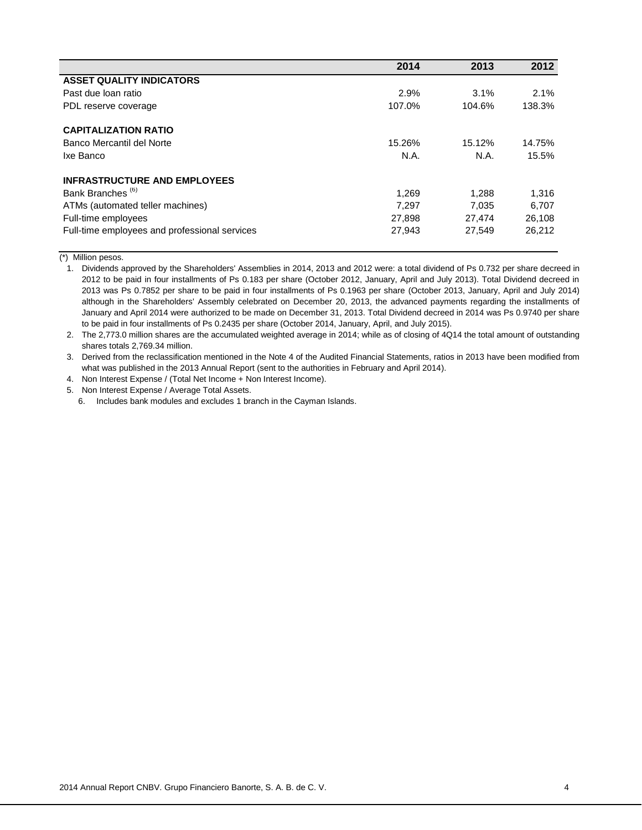|                                               | 2014   | 2013   | 2012   |
|-----------------------------------------------|--------|--------|--------|
| <b>ASSET QUALITY INDICATORS</b>               |        |        |        |
| Past due loan ratio                           | 2.9%   | 3.1%   | 2.1%   |
| PDL reserve coverage                          | 107.0% | 104.6% | 138.3% |
| <b>CAPITALIZATION RATIO</b>                   |        |        |        |
| Banco Mercantil del Norte                     | 15.26% | 15.12% | 14.75% |
| Ixe Banco                                     | N.A.   | N.A.   | 15.5%  |
| <b>INFRASTRUCTURE AND EMPLOYEES</b>           |        |        |        |
| Bank Branches <sup>(6)</sup>                  | 1,269  | 1,288  | 1,316  |
| ATMs (automated teller machines)              | 7.297  | 7.035  | 6.707  |
| Full-time employees                           | 27,898 | 27,474 | 26,108 |
| Full-time employees and professional services | 27,943 | 27.549 | 26,212 |

(\*) Million pesos.

1. Dividends approved by the Shareholders' Assemblies in 2014, 2013 and 2012 were: a total dividend of Ps 0.732 per share decreed in 2012 to be paid in four installments of Ps 0.183 per share (October 2012, January, April and July 2013). Total Dividend decreed in 2013 was Ps 0.7852 per share to be paid in four installments of Ps 0.1963 per share (October 2013, January, April and July 2014) although in the Shareholders' Assembly celebrated on December 20, 2013, the advanced payments regarding the installments of January and April 2014 were authorized to be made on December 31, 2013. Total Dividend decreed in 2014 was Ps 0.9740 per share to be paid in four installments of Ps 0.2435 per share (October 2014, January, April, and July 2015).

2. The 2,773.0 million shares are the accumulated weighted average in 2014; while as of closing of 4Q14 the total amount of outstanding shares totals 2,769.34 million.

3. Derived from the reclassification mentioned in the Note 4 of the Audited Financial Statements, ratios in 2013 have been modified from what was published in the 2013 Annual Report (sent to the authorities in February and April 2014).

4. Non Interest Expense / (Total Net Income + Non Interest Income).

5. Non Interest Expense / Average Total Assets.

6. Includes bank modules and excludes 1 branch in the Cayman Islands.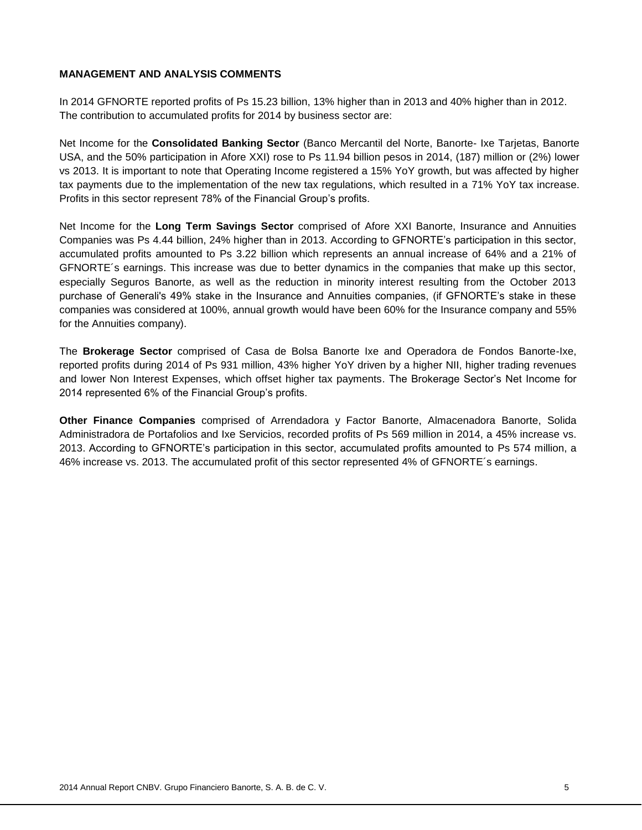# **MANAGEMENT AND ANALYSIS COMMENTS**

In 2014 GFNORTE reported profits of Ps 15.23 billion, 13% higher than in 2013 and 40% higher than in 2012. The contribution to accumulated profits for 2014 by business sector are:

Net Income for the **Consolidated Banking Sector** (Banco Mercantil del Norte, Banorte- Ixe Tarjetas, Banorte USA, and the 50% participation in Afore XXI) rose to Ps 11.94 billion pesos in 2014, (187) million or (2%) lower vs 2013. It is important to note that Operating Income registered a 15% YoY growth, but was affected by higher tax payments due to the implementation of the new tax regulations, which resulted in a 71% YoY tax increase. Profits in this sector represent 78% of the Financial Group's profits.

Net Income for the **Long Term Savings Sector** comprised of Afore XXI Banorte, Insurance and Annuities Companies was Ps 4.44 billion, 24% higher than in 2013. According to GFNORTE's participation in this sector, accumulated profits amounted to Ps 3.22 billion which represents an annual increase of 64% and a 21% of GFNORTE´s earnings. This increase was due to better dynamics in the companies that make up this sector, especially Seguros Banorte, as well as the reduction in minority interest resulting from the October 2013 purchase of Generali's 49% stake in the Insurance and Annuities companies, (if GFNORTE's stake in these companies was considered at 100%, annual growth would have been 60% for the Insurance company and 55% for the Annuities company).

The **Brokerage Sector** comprised of Casa de Bolsa Banorte Ixe and Operadora de Fondos Banorte-Ixe, reported profits during 2014 of Ps 931 million, 43% higher YoY driven by a higher NII, higher trading revenues and lower Non Interest Expenses, which offset higher tax payments. The Brokerage Sector's Net Income for 2014 represented 6% of the Financial Group's profits.

**Other Finance Companies** comprised of Arrendadora y Factor Banorte, Almacenadora Banorte, Solida Administradora de Portafolios and Ixe Servicios, recorded profits of Ps 569 million in 2014, a 45% increase vs. 2013. According to GFNORTE's participation in this sector, accumulated profits amounted to Ps 574 million, a 46% increase vs. 2013. The accumulated profit of this sector represented 4% of GFNORTE´s earnings.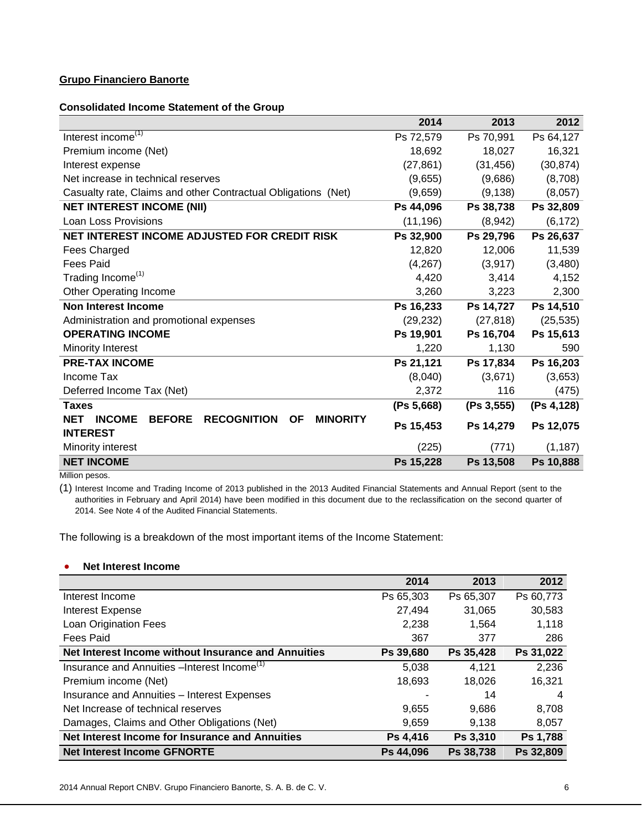# **Grupo Financiero Banorte**

### **Consolidated Income Statement of the Group**

|                                                                                                    | 2014       | 2013        | 2012       |
|----------------------------------------------------------------------------------------------------|------------|-------------|------------|
| Interest income <sup><math>(1)</math></sup>                                                        | Ps 72,579  | Ps 70,991   | Ps 64,127  |
| Premium income (Net)                                                                               | 18,692     | 18,027      | 16,321     |
| Interest expense                                                                                   | (27, 861)  | (31, 456)   | (30, 874)  |
| Net increase in technical reserves                                                                 | (9,655)    | (9,686)     | (8,708)    |
| Casualty rate, Claims and other Contractual Obligations (Net)                                      | (9,659)    | (9, 138)    | (8,057)    |
| <b>NET INTEREST INCOME (NII)</b>                                                                   | Ps 44,096  | Ps 38,738   | Ps 32,809  |
| <b>Loan Loss Provisions</b>                                                                        | (11, 196)  | (8,942)     | (6, 172)   |
| NET INTEREST INCOME ADJUSTED FOR CREDIT RISK                                                       | Ps 32,900  | Ps 29,796   | Ps 26,637  |
| Fees Charged                                                                                       | 12,820     | 12,006      | 11,539     |
| <b>Fees Paid</b>                                                                                   | (4,267)    | (3, 917)    | (3,480)    |
| Trading Income <sup>(1)</sup>                                                                      | 4,420      | 3,414       | 4,152      |
| <b>Other Operating Income</b>                                                                      | 3,260      | 3,223       | 2,300      |
| Non Interest Income                                                                                | Ps 16,233  | Ps 14,727   | Ps 14,510  |
| Administration and promotional expenses                                                            | (29, 232)  | (27, 818)   | (25, 535)  |
| <b>OPERATING INCOME</b>                                                                            | Ps 19,901  | Ps 16,704   | Ps 15,613  |
| Minority Interest                                                                                  | 1,220      | 1,130       | 590        |
| <b>PRE-TAX INCOME</b>                                                                              | Ps 21,121  | Ps 17,834   | Ps 16,203  |
| Income Tax                                                                                         | (8,040)    | (3,671)     | (3,653)    |
| Deferred Income Tax (Net)                                                                          | 2,372      | 116         | (475)      |
| <b>Taxes</b>                                                                                       | (Ps 5,668) | (Ps 3, 555) | (Ps 4,128) |
| <b>NET</b><br><b>RECOGNITION</b><br><b>INCOME</b><br><b>BEFORE</b><br><b>OF</b><br><b>MINORITY</b> | Ps 15,453  | Ps 14,279   | Ps 12,075  |
| <b>INTEREST</b><br>Minority interest                                                               | (225)      | (771)       | (1, 187)   |
| <b>NET INCOME</b>                                                                                  | Ps 15,228  | Ps 13,508   | Ps 10,888  |

Million pesos.

(1) Interest Income and Trading Income of 2013 published in the 2013 Audited Financial Statements and Annual Report (sent to the authorities in February and April 2014) have been modified in this document due to the reclassification on the second quarter of 2014. See Note 4 of the Audited Financial Statements.

The following is a breakdown of the most important items of the Income Statement:

# **Net Interest Income**

|                                                          | 2014      | 2013      | 2012      |
|----------------------------------------------------------|-----------|-----------|-----------|
| Interest Income                                          | Ps 65,303 | Ps 65,307 | Ps 60,773 |
| <b>Interest Expense</b>                                  | 27,494    | 31,065    | 30,583    |
| Loan Origination Fees                                    | 2,238     | 1,564     | 1,118     |
| Fees Paid                                                | 367       | 377       | 286       |
| Net Interest Income without Insurance and Annuities      | Ps 39,680 | Ps 35,428 | Ps 31,022 |
| Insurance and Annuities – Interest Income <sup>(1)</sup> | 5,038     | 4.121     | 2,236     |
| Premium income (Net)                                     | 18,693    | 18,026    | 16,321    |
| Insurance and Annuities - Interest Expenses              |           | 14        | 4         |
| Net Increase of technical reserves                       | 9,655     | 9,686     | 8,708     |
| Damages, Claims and Other Obligations (Net)              | 9,659     | 9.138     | 8,057     |
| Net Interest Income for Insurance and Annuities          | Ps 4,416  | Ps 3,310  | Ps 1,788  |
| <b>Net Interest Income GFNORTE</b>                       | Ps 44,096 | Ps 38,738 | Ps 32,809 |

2014 Annual Report CNBV. Grupo Financiero Banorte, S. A. B. de C. V. 6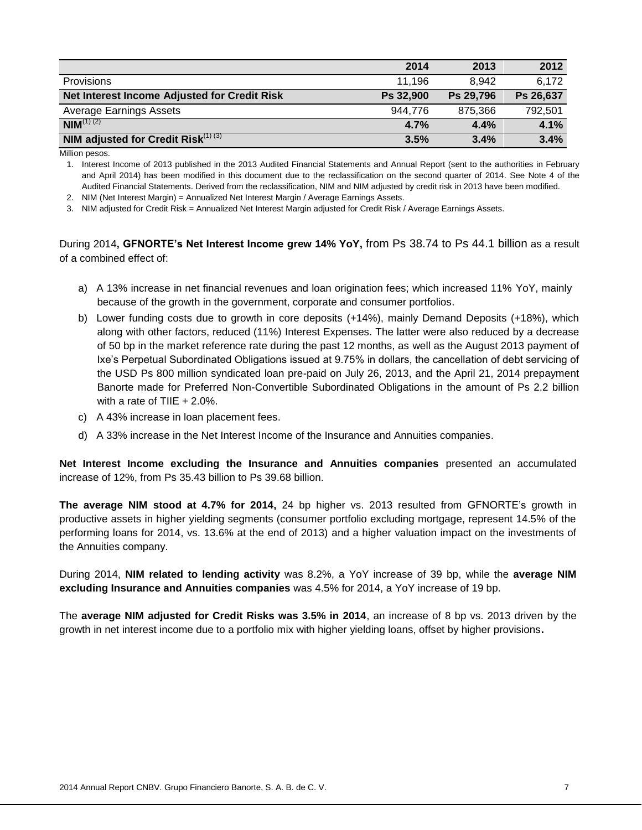|                                              | 2014      | 2013      | 2012      |
|----------------------------------------------|-----------|-----------|-----------|
| <b>Provisions</b>                            | 11.196    | 8.942     | 6,172     |
| Net Interest Income Adjusted for Credit Risk | Ps 32,900 | Ps 29,796 | Ps 26,637 |
| <b>Average Earnings Assets</b>               | 944.776   | 875.366   | 792.501   |
| $NIM^{(1)(2)}$                               | 4.7%      | 4.4%      | 4.1%      |
| NIM adjusted for Credit Risk $^{(1)(3)}$     | 3.5%      | 3.4%      | 3.4%      |

Million pesos.

1. Interest Income of 2013 published in the 2013 Audited Financial Statements and Annual Report (sent to the authorities in February and April 2014) has been modified in this document due to the reclassification on the second quarter of 2014. See Note 4 of the Audited Financial Statements. Derived from the reclassification, NIM and NIM adjusted by credit risk in 2013 have been modified.

2. NIM (Net Interest Margin) = Annualized Net Interest Margin / Average Earnings Assets.

3. NIM adjusted for Credit Risk = Annualized Net Interest Margin adjusted for Credit Risk / Average Earnings Assets.

During 2014**, GFNORTE's Net Interest Income grew 14% YoY,** from Ps 38.74 to Ps 44.1 billion as a result of a combined effect of:

- a) A 13% increase in net financial revenues and loan origination fees; which increased 11% YoY, mainly because of the growth in the government, corporate and consumer portfolios.
- b) Lower funding costs due to growth in core deposits (+14%), mainly Demand Deposits (+18%), which along with other factors, reduced (11%) Interest Expenses. The latter were also reduced by a decrease of 50 bp in the market reference rate during the past 12 months, as well as the August 2013 payment of Ixe's Perpetual Subordinated Obligations issued at 9.75% in dollars, the cancellation of debt servicing of the USD Ps 800 million syndicated loan pre-paid on July 26, 2013, and the April 21, 2014 prepayment Banorte made for Preferred Non-Convertible Subordinated Obligations in the amount of Ps 2.2 billion with a rate of TIIE  $+ 2.0\%$ .
- c) A 43% increase in loan placement fees.
- d) A 33% increase in the Net Interest Income of the Insurance and Annuities companies.

**Net Interest Income excluding the Insurance and Annuities companies** presented an accumulated increase of 12%, from Ps 35.43 billion to Ps 39.68 billion.

**The average NIM stood at 4.7% for 2014,** 24 bp higher vs. 2013 resulted from GFNORTE's growth in productive assets in higher yielding segments (consumer portfolio excluding mortgage, represent 14.5% of the performing loans for 2014, vs. 13.6% at the end of 2013) and a higher valuation impact on the investments of the Annuities company.

During 2014, **NIM related to lending activity** was 8.2%, a YoY increase of 39 bp, while the **average NIM excluding Insurance and Annuities companies** was 4.5% for 2014, a YoY increase of 19 bp.

The **average NIM adjusted for Credit Risks was 3.5% in 2014**, an increase of 8 bp vs. 2013 driven by the growth in net interest income due to a portfolio mix with higher yielding loans, offset by higher provisions**.**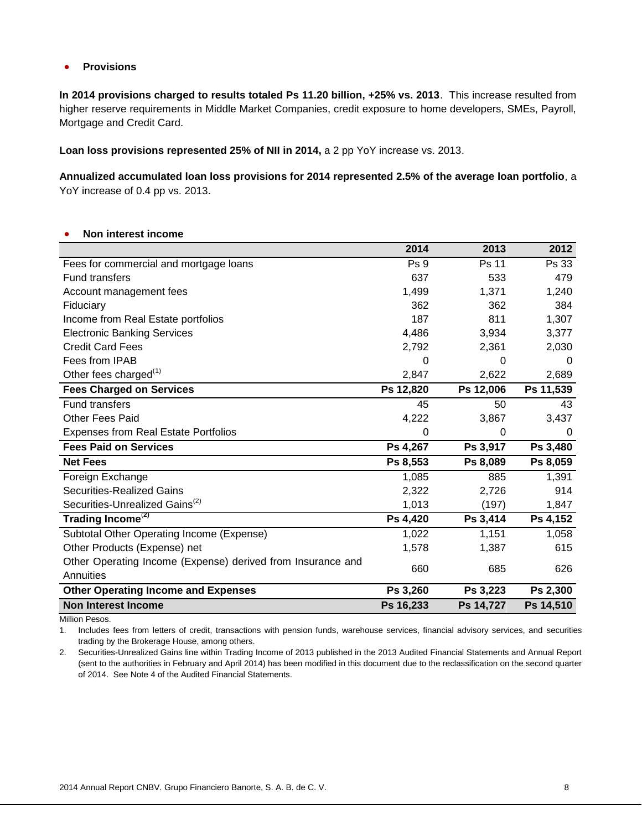# **•** Provisions

**In 2014 provisions charged to results totaled Ps 11.20 billion, +25% vs. 2013**. This increase resulted from higher reserve requirements in Middle Market Companies, credit exposure to home developers, SMEs, Payroll, Mortgage and Credit Card.

**Loan loss provisions represented 25% of NII in 2014,** a 2 pp YoY increase vs. 2013.

**Annualized accumulated loan loss provisions for 2014 represented 2.5% of the average loan portfolio**, a YoY increase of 0.4 pp vs. 2013.

### **Non interest income**

|                                                             | 2014            | 2013      | 2012      |
|-------------------------------------------------------------|-----------------|-----------|-----------|
| Fees for commercial and mortgage loans                      | Ps <sub>9</sub> | Ps 11     | Ps 33     |
| <b>Fund transfers</b>                                       | 637             | 533       | 479       |
| Account management fees                                     | 1,499           | 1,371     | 1,240     |
| Fiduciary                                                   | 362             | 362       | 384       |
| Income from Real Estate portfolios                          | 187             | 811       | 1,307     |
| <b>Electronic Banking Services</b>                          | 4,486           | 3,934     | 3,377     |
| <b>Credit Card Fees</b>                                     | 2,792           | 2,361     | 2,030     |
| Fees from IPAB                                              | 0               | 0         | 0         |
| Other fees charged <sup>(1)</sup>                           | 2,847           | 2,622     | 2,689     |
| <b>Fees Charged on Services</b>                             | Ps 12,820       | Ps 12,006 | Ps 11,539 |
| <b>Fund transfers</b>                                       | 45              | 50        | 43        |
| <b>Other Fees Paid</b>                                      | 4,222           | 3,867     | 3,437     |
| <b>Expenses from Real Estate Portfolios</b>                 | 0               | 0         | 0         |
| <b>Fees Paid on Services</b>                                | Ps 4,267        | Ps 3,917  | Ps 3,480  |
| <b>Net Fees</b>                                             | Ps 8,553        | Ps 8,089  | Ps 8,059  |
| Foreign Exchange                                            | 1,085           | 885       | 1,391     |
| <b>Securities-Realized Gains</b>                            | 2,322           | 2,726     | 914       |
| Securities-Unrealized Gains <sup>(2)</sup>                  | 1,013           | (197)     | 1,847     |
| Trading Income <sup>(2)</sup>                               | Ps 4,420        | Ps 3,414  | Ps 4,152  |
| Subtotal Other Operating Income (Expense)                   | 1,022           | 1,151     | 1,058     |
| Other Products (Expense) net                                | 1,578           | 1,387     | 615       |
| Other Operating Income (Expense) derived from Insurance and | 660             | 685       | 626       |
| Annuities                                                   |                 |           |           |
| <b>Other Operating Income and Expenses</b>                  | Ps 3,260        | Ps 3,223  | Ps 2,300  |
| <b>Non Interest Income</b>                                  | Ps 16,233       | Ps 14,727 | Ps 14,510 |

Million Pesos.

1. Includes fees from letters of credit, transactions with pension funds, warehouse services, financial advisory services, and securities trading by the Brokerage House, among others.

2. Securities-Unrealized Gains line within Trading Income of 2013 published in the 2013 Audited Financial Statements and Annual Report (sent to the authorities in February and April 2014) has been modified in this document due to the reclassification on the second quarter of 2014. See Note 4 of the Audited Financial Statements.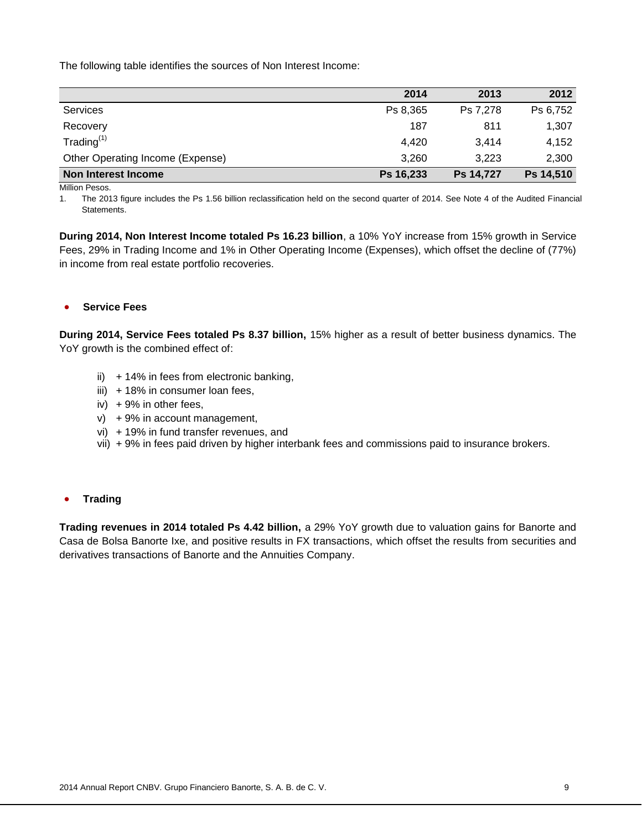The following table identifies the sources of Non Interest Income:

|                                  | 2014      | 2013      | 2012      |
|----------------------------------|-----------|-----------|-----------|
| <b>Services</b>                  | Ps 8,365  | Ps 7.278  | Ps 6,752  |
| Recovery                         | 187       | 811       | 1,307     |
| Trading $(1)$                    | 4.420     | 3.414     | 4,152     |
| Other Operating Income (Expense) | 3.260     | 3.223     | 2,300     |
| Non Interest Income              | Ps 16,233 | Ps 14,727 | Ps 14,510 |

Million Pesos.

1. The 2013 figure includes the Ps 1.56 billion reclassification held on the second quarter of 2014. See Note 4 of the Audited Financial Statements.

**During 2014, Non Interest Income totaled Ps 16.23 billion**, a 10% YoY increase from 15% growth in Service Fees, 29% in Trading Income and 1% in Other Operating Income (Expenses), which offset the decline of (77%) in income from real estate portfolio recoveries.

#### **Service Fees**

**During 2014, Service Fees totaled Ps 8.37 billion,** 15% higher as a result of better business dynamics. The YoY growth is the combined effect of:

- ii)  $+14%$  in fees from electronic banking,
- $iii)$  + 18% in consumer loan fees,
- iv)  $+9\%$  in other fees,
- v) + 9% in account management,
- vi) + 19% in fund transfer revenues, and
- vii) + 9% in fees paid driven by higher interbank fees and commissions paid to insurance brokers.

#### **•** Trading

**Trading revenues in 2014 totaled Ps 4.42 billion,** a 29% YoY growth due to valuation gains for Banorte and Casa de Bolsa Banorte Ixe, and positive results in FX transactions, which offset the results from securities and derivatives transactions of Banorte and the Annuities Company.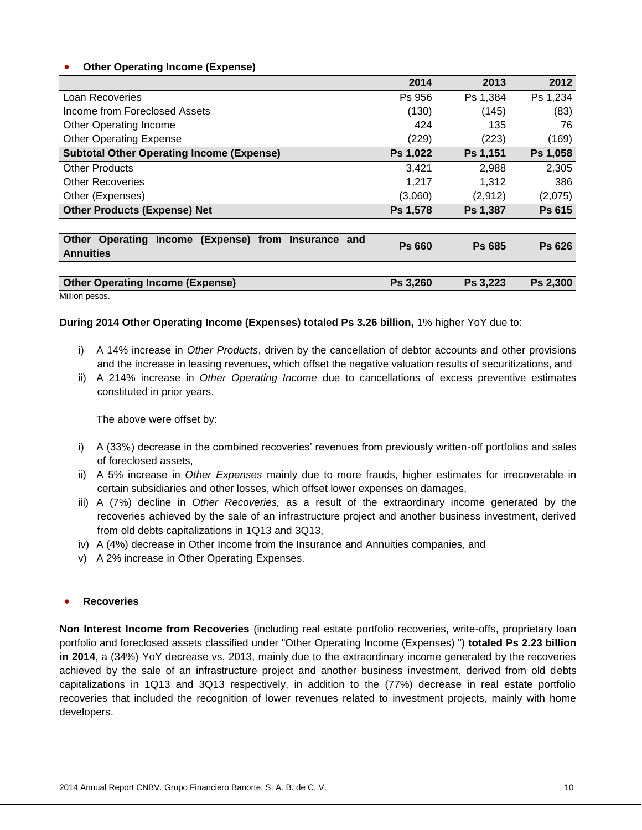# **Other Operating Income (Expense)**

|                                                           | 2014          | 2013          | 2012          |
|-----------------------------------------------------------|---------------|---------------|---------------|
| Loan Recoveries                                           | Ps 956        | Ps 1,384      | Ps 1,234      |
| Income from Foreclosed Assets                             | (130)         | (145)         | (83)          |
| <b>Other Operating Income</b>                             | 424           | 135           | 76            |
| <b>Other Operating Expense</b>                            | (229)         | (223)         | (169)         |
| <b>Subtotal Other Operating Income (Expense)</b>          | Ps 1,022      | Ps 1,151      | Ps 1,058      |
| <b>Other Products</b>                                     | 3.421         | 2,988         | 2,305         |
| <b>Other Recoveries</b>                                   | 1,217         | 1,312         | 386           |
| Other (Expenses)                                          | (3,060)       | (2,912)       | (2,075)       |
| <b>Other Products (Expense) Net</b>                       | Ps 1,578      | Ps 1,387      | Ps 615        |
|                                                           |               |               |               |
| Operating<br>Income (Expense) from Insurance and<br>Other | <b>Ps 660</b> | <b>Ps 685</b> | <b>Ps 626</b> |
| <b>Annuities</b>                                          |               |               |               |
|                                                           |               |               |               |
| <b>Other Operating Income (Expense)</b>                   | Ps 3,260      | Ps 3,223      | Ps 2,300      |

Million pesos.

### **During 2014 Other Operating Income (Expenses) totaled Ps 3.26 billion,** 1% higher YoY due to:

- i) A 14% increase in *Other Products*, driven by the cancellation of debtor accounts and other provisions and the increase in leasing revenues, which offset the negative valuation results of securitizations, and
- ii) A 214% increase in *Other Operating Income* due to cancellations of excess preventive estimates constituted in prior years.

The above were offset by:

- i) A (33%) decrease in the combined recoveries' revenues from previously written-off portfolios and sales of foreclosed assets,
- ii) A 5% increase in *Other Expenses* mainly due to more frauds, higher estimates for irrecoverable in certain subsidiaries and other losses, which offset lower expenses on damages,
- iii) A (7%) decline in *Other Recoveries,* as a result of the extraordinary income generated by the recoveries achieved by the sale of an infrastructure project and another business investment, derived from old debts capitalizations in 1Q13 and 3Q13,
- iv) A (4%) decrease in Other Income from the Insurance and Annuities companies, and
- v) A 2% increase in Other Operating Expenses.

### **Recoveries**

**Non Interest Income from Recoveries** (including real estate portfolio recoveries, write-offs, proprietary loan portfolio and foreclosed assets classified under "Other Operating Income (Expenses) ") **totaled Ps 2.23 billion in 2014**, a (34%) YoY decrease vs. 2013, mainly due to the extraordinary income generated by the recoveries achieved by the sale of an infrastructure project and another business investment, derived from old debts capitalizations in 1Q13 and 3Q13 respectively, in addition to the (77%) decrease in real estate portfolio recoveries that included the recognition of lower revenues related to investment projects, mainly with home developers.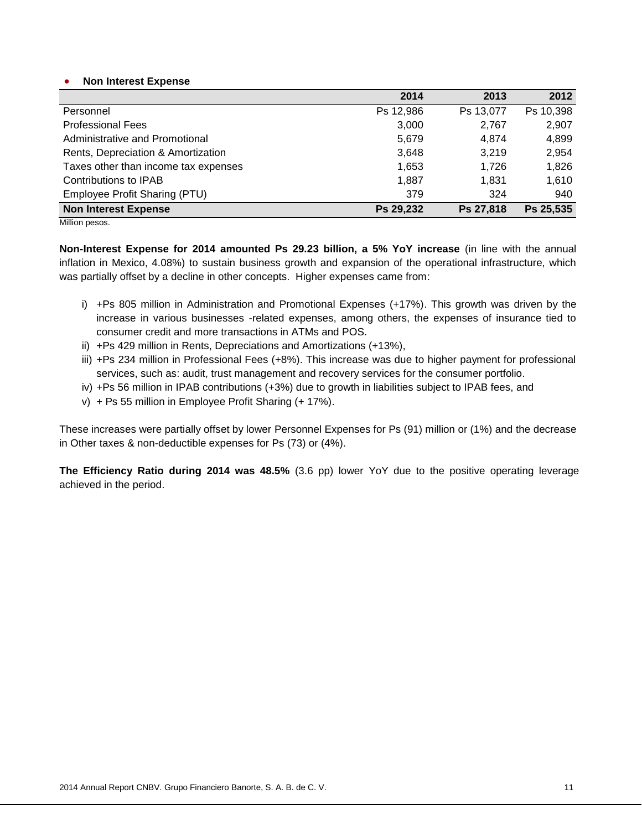#### **Non Interest Expense**

|                                      | 2014      | 2013      | 2012      |
|--------------------------------------|-----------|-----------|-----------|
| Personnel                            | Ps 12,986 | Ps 13,077 | Ps 10,398 |
| <b>Professional Fees</b>             | 3,000     | 2,767     | 2,907     |
| Administrative and Promotional       | 5,679     | 4,874     | 4,899     |
| Rents, Depreciation & Amortization   | 3,648     | 3,219     | 2,954     |
| Taxes other than income tax expenses | 1,653     | 1.726     | 1,826     |
| Contributions to IPAB                | 1,887     | 1.831     | 1,610     |
| Employee Profit Sharing (PTU)        | 379       | 324       | 940       |
| <b>Non Interest Expense</b>          | Ps 29,232 | Ps 27,818 | Ps 25,535 |

Million pesos.

**Non-Interest Expense for 2014 amounted Ps 29.23 billion, a 5% YoY increase** (in line with the annual inflation in Mexico, 4.08%) to sustain business growth and expansion of the operational infrastructure, which was partially offset by a decline in other concepts. Higher expenses came from:

- i) +Ps 805 million in Administration and Promotional Expenses (+17%). This growth was driven by the increase in various businesses -related expenses, among others, the expenses of insurance tied to consumer credit and more transactions in ATMs and POS.
- ii) +Ps 429 million in Rents, Depreciations and Amortizations (+13%),
- iii) +Ps 234 million in Professional Fees (+8%). This increase was due to higher payment for professional services, such as: audit, trust management and recovery services for the consumer portfolio.
- iv) +Ps 56 million in IPAB contributions (+3%) due to growth in liabilities subject to IPAB fees, and
- v) + Ps 55 million in Employee Profit Sharing (+ 17%).

These increases were partially offset by lower Personnel Expenses for Ps (91) million or (1%) and the decrease in Other taxes & non-deductible expenses for Ps (73) or (4%).

**The Efficiency Ratio during 2014 was 48.5%** (3.6 pp) lower YoY due to the positive operating leverage achieved in the period.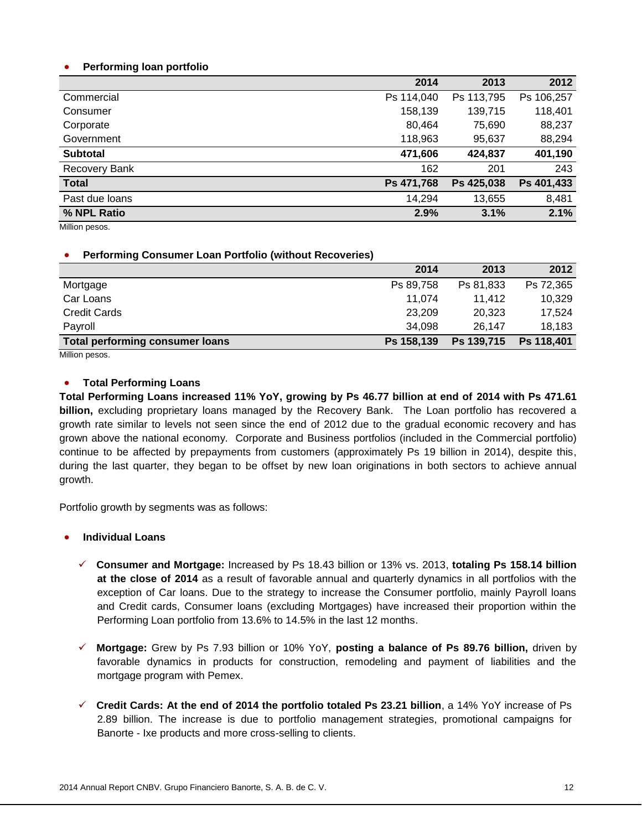# **Performing loan portfolio**

| 2014       | 2013       | 2012       |
|------------|------------|------------|
| Ps 114,040 | Ps 113,795 | Ps 106,257 |
| 158,139    | 139,715    | 118,401    |
| 80,464     | 75,690     | 88,237     |
| 118,963    | 95,637     | 88,294     |
| 471,606    | 424,837    | 401,190    |
| 162        | 201        | 243        |
| Ps 471,768 | Ps 425,038 | Ps 401,433 |
| 14,294     | 13,655     | 8,481      |
| 2.9%       | 3.1%       | 2.1%       |
|            |            |            |

Million pesos.

### **Performing Consumer Loan Portfolio (without Recoveries)**

|                                     | 2014       | 2013       | 2012       |
|-------------------------------------|------------|------------|------------|
| Mortgage                            | Ps 89.758  | Ps 81,833  | Ps 72,365  |
| Car Loans                           | 11,074     | 11.412     | 10,329     |
| <b>Credit Cards</b>                 | 23,209     | 20,323     | 17.524     |
| Payroll                             | 34,098     | 26.147     | 18,183     |
| Total performing consumer loans<br> | Ps 158,139 | Ps 139,715 | Ps 118,401 |

Million pesos.

# **Total Performing Loans**

**Total Performing Loans increased 11% YoY, growing by Ps 46.77 billion at end of 2014 with Ps 471.61 billion,** excluding proprietary loans managed by the Recovery Bank. The Loan portfolio has recovered a growth rate similar to levels not seen since the end of 2012 due to the gradual economic recovery and has grown above the national economy. Corporate and Business portfolios (included in the Commercial portfolio) continue to be affected by prepayments from customers (approximately Ps 19 billion in 2014), despite this, during the last quarter, they began to be offset by new loan originations in both sectors to achieve annual growth.

Portfolio growth by segments was as follows:

- **Individual Loans**
	- **Consumer and Mortgage:** Increased by Ps 18.43 billion or 13% vs. 2013, **totaling Ps 158.14 billion at the close of 2014** as a result of favorable annual and quarterly dynamics in all portfolios with the exception of Car loans. Due to the strategy to increase the Consumer portfolio, mainly Payroll loans and Credit cards, Consumer loans (excluding Mortgages) have increased their proportion within the Performing Loan portfolio from 13.6% to 14.5% in the last 12 months.
	- **Mortgage:** Grew by Ps 7.93 billion or 10% YoY, **posting a balance of Ps 89.76 billion,** driven by favorable dynamics in products for construction, remodeling and payment of liabilities and the mortgage program with Pemex.
	- **Credit Cards: At the end of 2014 the portfolio totaled Ps 23.21 billion**, a 14% YoY increase of Ps 2.89 billion. The increase is due to portfolio management strategies, promotional campaigns for Banorte - Ixe products and more cross-selling to clients.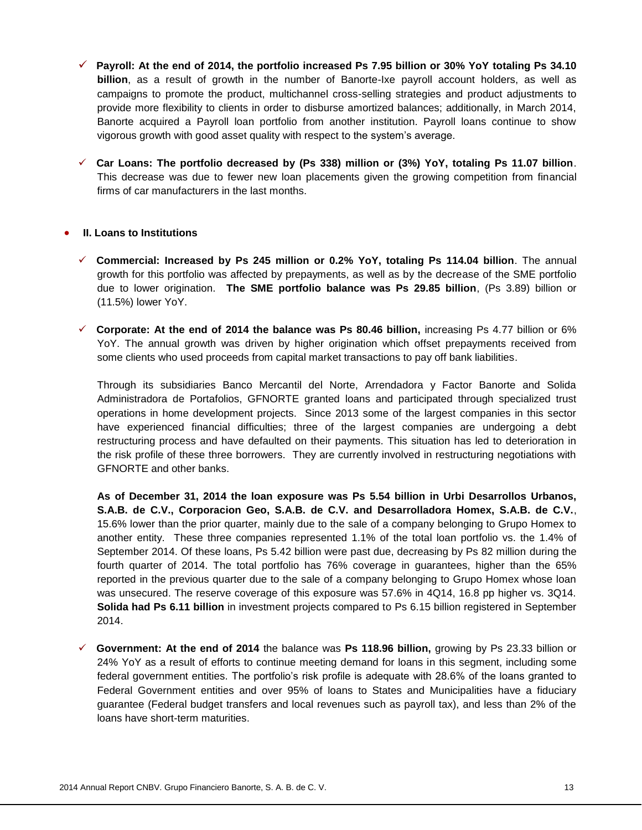- **Payroll: At the end of 2014, the portfolio increased Ps 7.95 billion or 30% YoY totaling Ps 34.10 billion**, as a result of growth in the number of Banorte-Ixe payroll account holders, as well as campaigns to promote the product, multichannel cross-selling strategies and product adjustments to provide more flexibility to clients in order to disburse amortized balances; additionally, in March 2014, Banorte acquired a Payroll loan portfolio from another institution. Payroll loans continue to show vigorous growth with good asset quality with respect to the system's average.
- **Car Loans: The portfolio decreased by (Ps 338) million or (3%) YoY, totaling Ps 11.07 billion**. This decrease was due to fewer new loan placements given the growing competition from financial firms of car manufacturers in the last months.

### **II. Loans to Institutions**

- **Commercial: Increased by Ps 245 million or 0.2% YoY, totaling Ps 114.04 billion**. The annual growth for this portfolio was affected by prepayments, as well as by the decrease of the SME portfolio due to lower origination. **The SME portfolio balance was Ps 29.85 billion**, (Ps 3.89) billion or (11.5%) lower YoY.
- **Corporate: At the end of 2014 the balance was Ps 80.46 billion,** increasing Ps 4.77 billion or 6% YoY. The annual growth was driven by higher origination which offset prepayments received from some clients who used proceeds from capital market transactions to pay off bank liabilities.

Through its subsidiaries Banco Mercantil del Norte, Arrendadora y Factor Banorte and Solida Administradora de Portafolios, GFNORTE granted loans and participated through specialized trust operations in home development projects. Since 2013 some of the largest companies in this sector have experienced financial difficulties; three of the largest companies are undergoing a debt restructuring process and have defaulted on their payments. This situation has led to deterioration in the risk profile of these three borrowers. They are currently involved in restructuring negotiations with GFNORTE and other banks.

**As of December 31, 2014 the loan exposure was Ps 5.54 billion in Urbi Desarrollos Urbanos, S.A.B. de C.V., Corporacion Geo, S.A.B. de C.V. and Desarrolladora Homex, S.A.B. de C.V.**, 15.6% lower than the prior quarter, mainly due to the sale of a company belonging to Grupo Homex to another entity. These three companies represented 1.1% of the total loan portfolio vs. the 1.4% of September 2014. Of these loans, Ps 5.42 billion were past due, decreasing by Ps 82 million during the fourth quarter of 2014. The total portfolio has 76% coverage in guarantees, higher than the 65% reported in the previous quarter due to the sale of a company belonging to Grupo Homex whose loan was unsecured. The reserve coverage of this exposure was 57.6% in 4Q14, 16.8 pp higher vs. 3Q14. **Solida had Ps 6.11 billion** in investment projects compared to Ps 6.15 billion registered in September 2014.

 **Government: At the end of 2014** the balance was **Ps 118.96 billion,** growing by Ps 23.33 billion or 24% YoY as a result of efforts to continue meeting demand for loans in this segment, including some federal government entities. The portfolio's risk profile is adequate with 28.6% of the loans granted to Federal Government entities and over 95% of loans to States and Municipalities have a fiduciary guarantee (Federal budget transfers and local revenues such as payroll tax), and less than 2% of the loans have short-term maturities.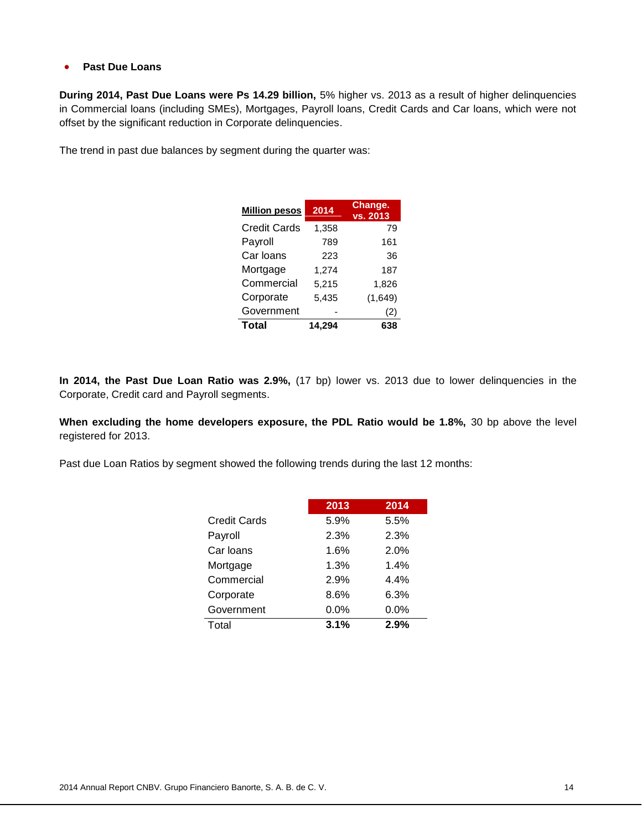# **Past Due Loans**

**During 2014, Past Due Loans were Ps 14.29 billion,** 5% higher vs. 2013 as a result of higher delinquencies in Commercial loans (including SMEs), Mortgages, Payroll loans, Credit Cards and Car loans, which were not offset by the significant reduction in Corporate delinquencies.

The trend in past due balances by segment during the quarter was:

| <b>Million pesos</b> | 2014   | Change.<br>vs. 2013 |
|----------------------|--------|---------------------|
| <b>Credit Cards</b>  | 1.358  | 79                  |
| Payroll              | 789    | 161                 |
| Car Ioans            | 223    | 36                  |
| Mortgage             | 1,274  | 187                 |
| Commercial           | 5,215  | 1,826               |
| Corporate            | 5.435  | (1,649)             |
| Government           |        | (2)                 |
| <b>Total</b>         | 14,294 | 638                 |

**In 2014, the Past Due Loan Ratio was 2.9%,** (17 bp) lower vs. 2013 due to lower delinquencies in the Corporate, Credit card and Payroll segments.

**When excluding the home developers exposure, the PDL Ratio would be 1.8%,** 30 bp above the level registered for 2013.

Past due Loan Ratios by segment showed the following trends during the last 12 months:

|              | 2013 | 2014 |
|--------------|------|------|
| Credit Cards | 5.9% | 5.5% |
| Payroll      | 2.3% | 2.3% |
| Car Ioans    | 1.6% | 2.0% |
| Mortgage     | 1.3% | 1.4% |
| Commercial   | 2.9% | 4.4% |
| Corporate    | 8.6% | 6.3% |
| Government   | 0.0% | 0.0% |
| Total        | 3.1% | 2.9% |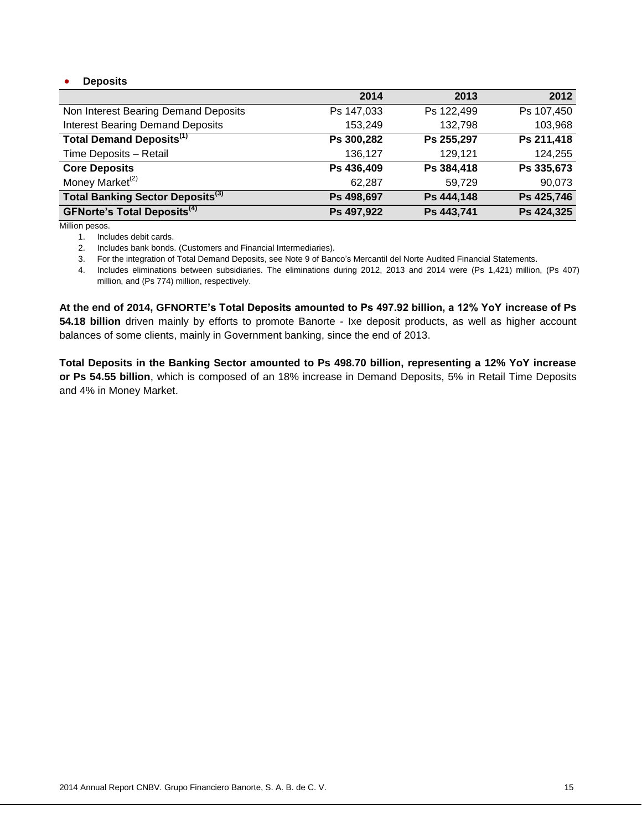# **Deposits**

|                                                     | 2014       | 2013       | 2012       |
|-----------------------------------------------------|------------|------------|------------|
| Non Interest Bearing Demand Deposits                | Ps 147,033 | Ps 122,499 | Ps 107,450 |
| <b>Interest Bearing Demand Deposits</b>             | 153,249    | 132,798    | 103,968    |
| <b>Total Demand Deposits</b> <sup>(1)</sup>         | Ps 300,282 | Ps 255,297 | Ps 211,418 |
| Time Deposits - Retail                              | 136,127    | 129,121    | 124,255    |
| <b>Core Deposits</b>                                | Ps 436,409 | Ps 384,418 | Ps 335,673 |
| Money Market <sup>(2)</sup>                         | 62,287     | 59,729     | 90,073     |
| Total Banking Sector Deposits <sup>(3)</sup>        | Ps 498,697 | Ps 444,148 | Ps 425,746 |
| <b>GFNorte's Total Deposits</b> <sup>(4)</sup><br>. | Ps 497,922 | Ps 443,741 | Ps 424,325 |

Million pesos.

1. Includes debit cards.

2. Includes bank bonds. (Customers and Financial Intermediaries).

3. For the integration of Total Demand Deposits, see Note 9 of Banco's Mercantil del Norte Audited Financial Statements.

4. Includes eliminations between subsidiaries. The eliminations during 2012, 2013 and 2014 were (Ps 1,421) million, (Ps 407) million, and (Ps 774) million, respectively.

**At the end of 2014, GFNORTE's Total Deposits amounted to Ps 497.92 billion, a 12% YoY increase of Ps 54.18 billion** driven mainly by efforts to promote Banorte - Ixe deposit products, as well as higher account balances of some clients, mainly in Government banking, since the end of 2013.

**Total Deposits in the Banking Sector amounted to Ps 498.70 billion, representing a 12% YoY increase or Ps 54.55 billion**, which is composed of an 18% increase in Demand Deposits, 5% in Retail Time Deposits and 4% in Money Market.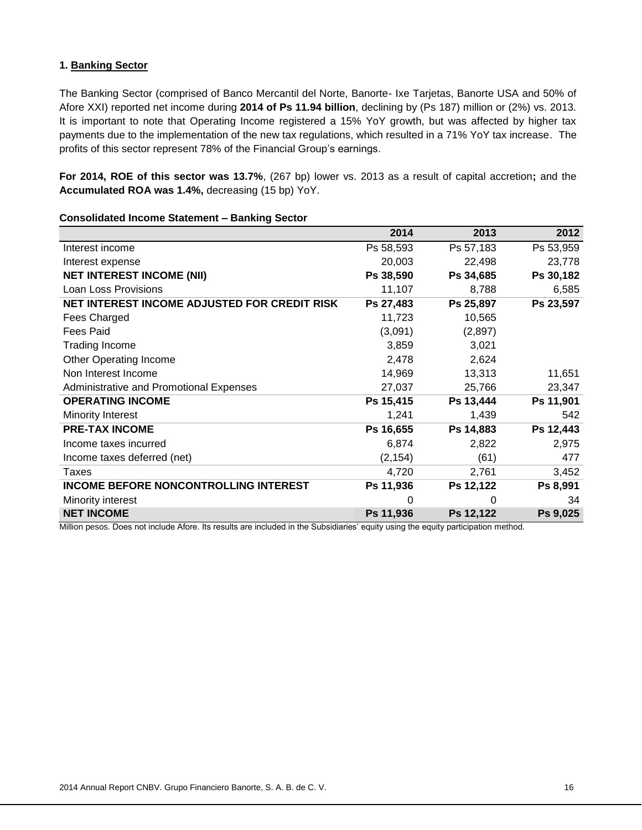# **1. Banking Sector**

The Banking Sector (comprised of Banco Mercantil del Norte, Banorte- Ixe Tarjetas, Banorte USA and 50% of Afore XXI) reported net income during **2014 of Ps 11.94 billion**, declining by (Ps 187) million or (2%) vs. 2013. It is important to note that Operating Income registered a 15% YoY growth, but was affected by higher tax payments due to the implementation of the new tax regulations, which resulted in a 71% YoY tax increase. The profits of this sector represent 78% of the Financial Group's earnings.

**For 2014, ROE of this sector was 13.7%**, (267 bp) lower vs. 2013 as a result of capital accretion**;** and the **Accumulated ROA was 1.4%,** decreasing (15 bp) YoY.

|                                              | 2014      | 2013      | 2012      |
|----------------------------------------------|-----------|-----------|-----------|
| Interest income                              | Ps 58,593 | Ps 57,183 | Ps 53,959 |
| Interest expense                             | 20,003    | 22,498    | 23,778    |
| <b>NET INTEREST INCOME (NII)</b>             | Ps 38,590 | Ps 34,685 | Ps 30,182 |
| Loan Loss Provisions                         | 11,107    | 8,788     | 6,585     |
| NET INTEREST INCOME ADJUSTED FOR CREDIT RISK | Ps 27,483 | Ps 25,897 | Ps 23,597 |
| Fees Charged                                 | 11,723    | 10,565    |           |
| Fees Paid                                    | (3,091)   | (2,897)   |           |
| Trading Income                               | 3,859     | 3,021     |           |
| <b>Other Operating Income</b>                | 2,478     | 2,624     |           |
| Non Interest Income                          | 14,969    | 13,313    | 11,651    |
| Administrative and Promotional Expenses      | 27,037    | 25,766    | 23,347    |
| <b>OPERATING INCOME</b>                      | Ps 15,415 | Ps 13,444 | Ps 11,901 |
| Minority Interest                            | 1,241     | 1,439     | 542       |
| <b>PRE-TAX INCOME</b>                        | Ps 16,655 | Ps 14,883 | Ps 12,443 |
| Income taxes incurred                        | 6,874     | 2,822     | 2,975     |
| Income taxes deferred (net)                  | (2, 154)  | (61)      | 477       |
| Taxes                                        | 4,720     | 2,761     | 3,452     |
| <b>INCOME BEFORE NONCONTROLLING INTEREST</b> | Ps 11,936 | Ps 12,122 | Ps 8,991  |
| Minority interest                            | 0         | 0         | 34        |
| <b>NET INCOME</b>                            | Ps 11,936 | Ps 12,122 | Ps 9,025  |

#### **Consolidated Income Statement – Banking Sector**

Million pesos. Does not include Afore. Its results are included in the Subsidiaries' equity using the equity participation method.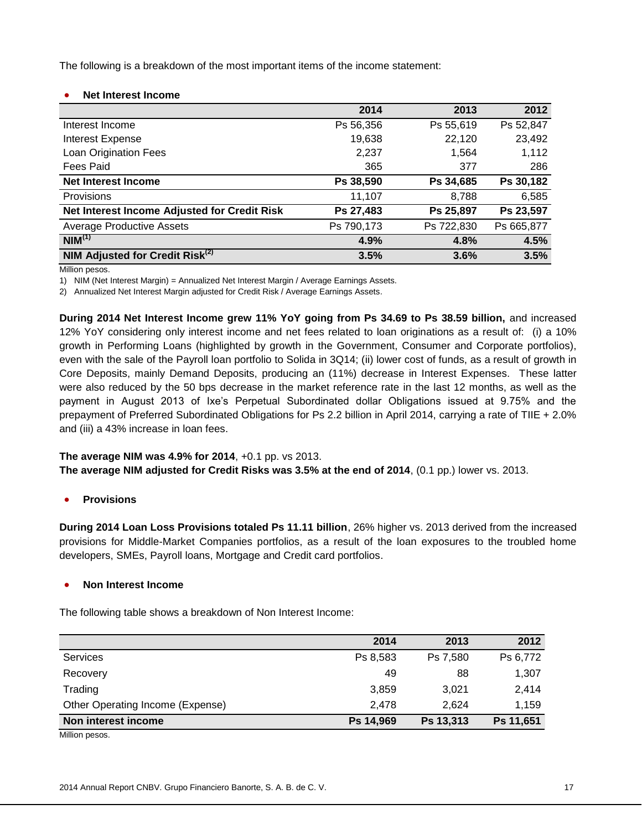The following is a breakdown of the most important items of the income statement:

# **Net Interest Income**

|                                              | 2014       | 2013       | 2012       |
|----------------------------------------------|------------|------------|------------|
| Interest Income                              | Ps 56,356  | Ps 55,619  | Ps 52,847  |
| <b>Interest Expense</b>                      | 19,638     | 22,120     | 23,492     |
| Loan Origination Fees                        | 2,237      | 1,564      | 1,112      |
| Fees Paid                                    | 365        | 377        | 286        |
| <b>Net Interest Income</b>                   | Ps 38,590  | Ps 34,685  | Ps 30,182  |
| Provisions                                   | 11,107     | 8,788      | 6,585      |
| Net Interest Income Adjusted for Credit Risk | Ps 27,483  | Ps 25,897  | Ps 23,597  |
| <b>Average Productive Assets</b>             | Ps 790,173 | Ps 722,830 | Ps 665,877 |
| NIM <sup>(1)</sup>                           | 4.9%       | 4.8%       | 4.5%       |
| NIM Adjusted for Credit Risk <sup>(2)</sup>  | 3.5%       | 3.6%       | 3.5%       |

Million pesos.

1) NIM (Net Interest Margin) = Annualized Net Interest Margin / Average Earnings Assets.

2) Annualized Net Interest Margin adjusted for Credit Risk / Average Earnings Assets.

**During 2014 Net Interest Income grew 11% YoY going from Ps 34.69 to Ps 38.59 billion,** and increased 12% YoY considering only interest income and net fees related to loan originations as a result of: (i) a 10% growth in Performing Loans (highlighted by growth in the Government, Consumer and Corporate portfolios), even with the sale of the Payroll loan portfolio to Solida in 3Q14; (ii) lower cost of funds, as a result of growth in Core Deposits, mainly Demand Deposits, producing an (11%) decrease in Interest Expenses. These latter were also reduced by the 50 bps decrease in the market reference rate in the last 12 months, as well as the payment in August 2013 of Ixe's Perpetual Subordinated dollar Obligations issued at 9.75% and the prepayment of Preferred Subordinated Obligations for Ps 2.2 billion in April 2014, carrying a rate of TIIE + 2.0% and (iii) a 43% increase in loan fees.

# **The average NIM was 4.9% for 2014**, +0.1 pp. vs 2013.

**The average NIM adjusted for Credit Risks was 3.5% at the end of 2014**, (0.1 pp.) lower vs. 2013.

**Provisions**

**During 2014 Loan Loss Provisions totaled Ps 11.11 billion**, 26% higher vs. 2013 derived from the increased provisions for Middle-Market Companies portfolios, as a result of the loan exposures to the troubled home developers, SMEs, Payroll loans, Mortgage and Credit card portfolios.

# **Non Interest Income**

The following table shows a breakdown of Non Interest Income:

|                                  | 2014      | 2013      | 2012      |
|----------------------------------|-----------|-----------|-----------|
| Services                         | Ps 8,583  | Ps 7,580  | Ps 6,772  |
| Recovery                         | 49        | 88        | 1,307     |
| Trading                          | 3,859     | 3.021     | 2.414     |
| Other Operating Income (Expense) | 2.478     | 2.624     | 1.159     |
| Non interest income              | Ps 14,969 | Ps 13,313 | Ps 11,651 |

Million pesos.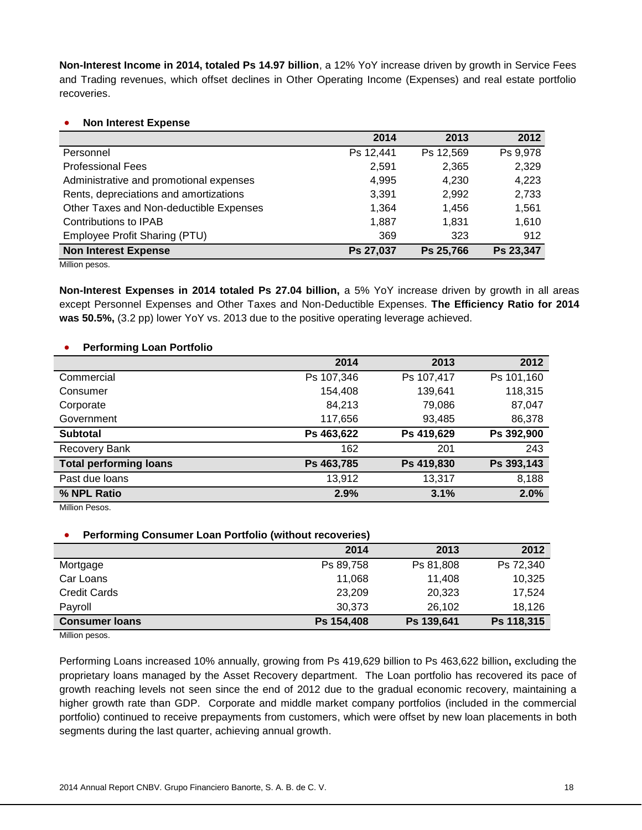**Non-Interest Income in 2014, totaled Ps 14.97 billion**, a 12% YoY increase driven by growth in Service Fees and Trading revenues, which offset declines in Other Operating Income (Expenses) and real estate portfolio recoveries.

### **Non Interest Expense**

|                                         | 2014      | 2013      | 2012      |
|-----------------------------------------|-----------|-----------|-----------|
| Personnel                               | Ps 12,441 | Ps 12,569 | Ps 9,978  |
| <b>Professional Fees</b>                | 2,591     | 2,365     | 2,329     |
| Administrative and promotional expenses | 4,995     | 4,230     | 4,223     |
| Rents, depreciations and amortizations  | 3,391     | 2,992     | 2,733     |
| Other Taxes and Non-deductible Expenses | 1,364     | 1,456     | 1,561     |
| Contributions to IPAB                   | 1,887     | 1,831     | 1,610     |
| Employee Profit Sharing (PTU)           | 369       | 323       | 912       |
| <b>Non Interest Expense</b>             | Ps 27,037 | Ps 25,766 | Ps 23,347 |
| Million pesos.                          |           |           |           |

**Non-Interest Expenses in 2014 totaled Ps 27.04 billion,** a 5% YoY increase driven by growth in all areas except Personnel Expenses and Other Taxes and Non-Deductible Expenses. **The Efficiency Ratio for 2014 was 50.5%,** (3.2 pp) lower YoY vs. 2013 due to the positive operating leverage achieved.

### **Performing Loan Portfolio**

|                               | 2014       | 2013       | 2012       |
|-------------------------------|------------|------------|------------|
| Commercial                    | Ps 107,346 | Ps 107,417 | Ps 101,160 |
| Consumer                      | 154,408    | 139,641    | 118,315    |
| Corporate                     | 84,213     | 79,086     | 87,047     |
| Government                    | 117,656    | 93,485     | 86,378     |
| <b>Subtotal</b>               | Ps 463,622 | Ps 419,629 | Ps 392,900 |
| <b>Recovery Bank</b>          | 162        | 201        | 243        |
| <b>Total performing loans</b> | Ps 463,785 | Ps 419,830 | Ps 393,143 |
| Past due loans                | 13,912     | 13,317     | 8,188      |
| % NPL Ratio                   | 2.9%       | 3.1%       | 2.0%       |

Million Pesos.

# **Performing Consumer Loan Portfolio (without recoveries)**

|                       | 2014       | 2013       | 2012       |
|-----------------------|------------|------------|------------|
| Mortgage              | Ps 89,758  | Ps 81,808  | Ps 72,340  |
| Car Loans             | 11.068     | 11.408     | 10,325     |
| <b>Credit Cards</b>   | 23,209     | 20,323     | 17,524     |
| Payroll               | 30.373     | 26,102     | 18,126     |
| <b>Consumer loans</b> | Ps 154,408 | Ps 139,641 | Ps 118,315 |

Million pesos.

Performing Loans increased 10% annually, growing from Ps 419,629 billion to Ps 463,622 billion**,** excluding the proprietary loans managed by the Asset Recovery department. The Loan portfolio has recovered its pace of growth reaching levels not seen since the end of 2012 due to the gradual economic recovery, maintaining a higher growth rate than GDP. Corporate and middle market company portfolios (included in the commercial portfolio) continued to receive prepayments from customers, which were offset by new loan placements in both segments during the last quarter, achieving annual growth.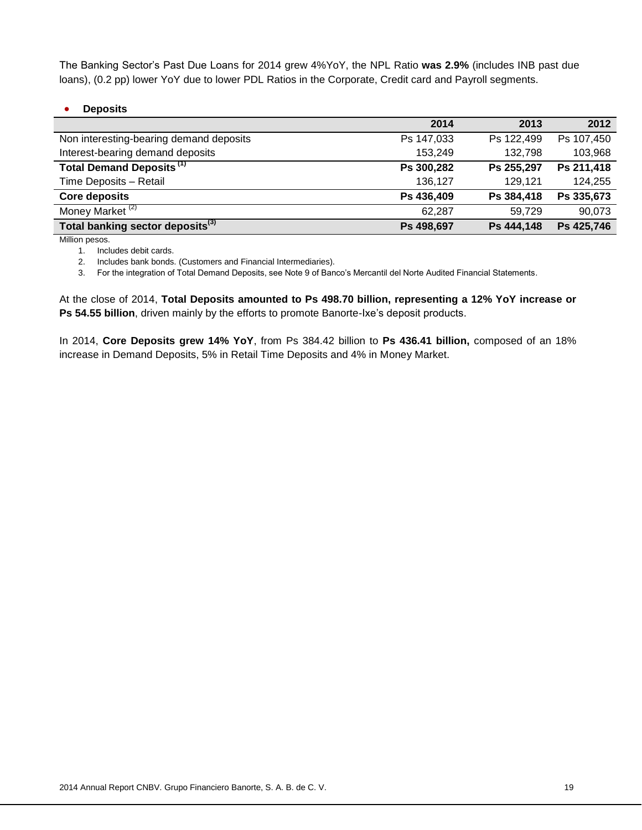The Banking Sector's Past Due Loans for 2014 grew 4%YoY, the NPL Ratio **was 2.9%** (includes INB past due loans), (0.2 pp) lower YoY due to lower PDL Ratios in the Corporate, Credit card and Payroll segments.

### **Deposits**

|                                              | 2014       | 2013       | 2012       |
|----------------------------------------------|------------|------------|------------|
| Non interesting-bearing demand deposits      | Ps 147,033 | Ps 122,499 | Ps 107,450 |
| Interest-bearing demand deposits             | 153,249    | 132,798    | 103,968    |
| Total Demand Deposits <sup>(1)</sup>         | Ps 300,282 | Ps 255,297 | Ps 211,418 |
| Time Deposits - Retail                       | 136,127    | 129,121    | 124,255    |
| <b>Core deposits</b>                         | Ps 436,409 | Ps 384,418 | Ps 335,673 |
| Money Market <sup>(2)</sup>                  | 62,287     | 59,729     | 90,073     |
| Total banking sector deposits <sup>(3)</sup> | Ps 498,697 | Ps 444,148 | Ps 425,746 |
|                                              |            |            |            |

Million pesos.

1. Includes debit cards.

2. Includes bank bonds. (Customers and Financial Intermediaries).

3. For the integration of Total Demand Deposits, see Note 9 of Banco's Mercantil del Norte Audited Financial Statements.

At the close of 2014, **Total Deposits amounted to Ps 498.70 billion, representing a 12% YoY increase or Ps 54.55 billion**, driven mainly by the efforts to promote Banorte-Ixe's deposit products.

In 2014, **Core Deposits grew 14% YoY**, from Ps 384.42 billion to **Ps 436.41 billion,** composed of an 18% increase in Demand Deposits, 5% in Retail Time Deposits and 4% in Money Market.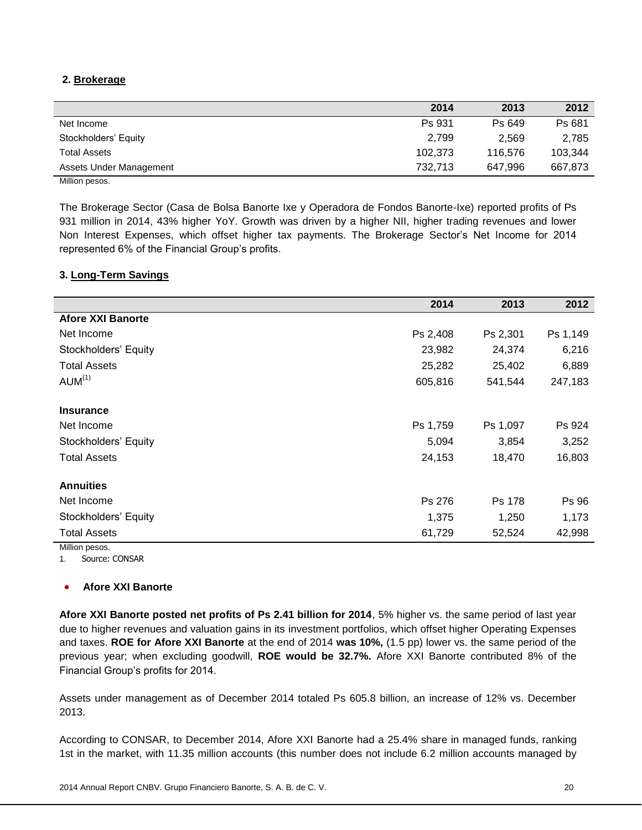# **2. Brokerage**

|                         | 2014    | 2013    | 2012    |
|-------------------------|---------|---------|---------|
| Net Income              | Ps 931  | Ps 649  | Ps 681  |
| Stockholders' Equity    | 2.799   | 2.569   | 2.785   |
| <b>Total Assets</b>     | 102,373 | 116,576 | 103,344 |
| Assets Under Management | 732.713 | 647.996 | 667,873 |
| .                       |         |         |         |

Million pesos.

The Brokerage Sector (Casa de Bolsa Banorte Ixe y Operadora de Fondos Banorte-Ixe) reported profits of Ps 931 million in 2014, 43% higher YoY. Growth was driven by a higher NII, higher trading revenues and lower Non Interest Expenses, which offset higher tax payments. The Brokerage Sector's Net Income for 2014 represented 6% of the Financial Group's profits.

# **3. Long-Term Savings**

|                          | 2014     | 2013     | 2012     |
|--------------------------|----------|----------|----------|
| <b>Afore XXI Banorte</b> |          |          |          |
| Net Income               | Ps 2,408 | Ps 2,301 | Ps 1,149 |
| Stockholders' Equity     | 23,982   | 24,374   | 6,216    |
| <b>Total Assets</b>      | 25,282   | 25,402   | 6,889    |
| AUM <sup>(1)</sup>       | 605,816  | 541,544  | 247,183  |
| <b>Insurance</b>         |          |          |          |
| Net Income               | Ps 1,759 | Ps 1,097 | Ps 924   |
| Stockholders' Equity     | 5,094    | 3,854    | 3,252    |
| <b>Total Assets</b>      | 24,153   | 18,470   | 16,803   |
| <b>Annuities</b>         |          |          |          |
| Net Income               | Ps 276   | Ps 178   | Ps 96    |
| Stockholders' Equity     | 1,375    | 1,250    | 1,173    |
| <b>Total Assets</b>      | 61,729   | 52,524   | 42,998   |
| Million pesos.           |          |          |          |

1. Source: CONSAR

# **Afore XXI Banorte**

**Afore XXI Banorte posted net profits of Ps 2.41 billion for 2014**, 5% higher vs. the same period of last year due to higher revenues and valuation gains in its investment portfolios, which offset higher Operating Expenses and taxes. **ROE for Afore XXI Banorte** at the end of 2014 **was 10%,** (1.5 pp) lower vs. the same period of the previous year; when excluding goodwill, **ROE would be 32.7%.** Afore XXI Banorte contributed 8% of the Financial Group's profits for 2014.

Assets under management as of December 2014 totaled Ps 605.8 billion, an increase of 12% vs. December 2013.

According to CONSAR, to December 2014, Afore XXI Banorte had a 25.4% share in managed funds, ranking 1st in the market, with 11.35 million accounts (this number does not include 6.2 million accounts managed by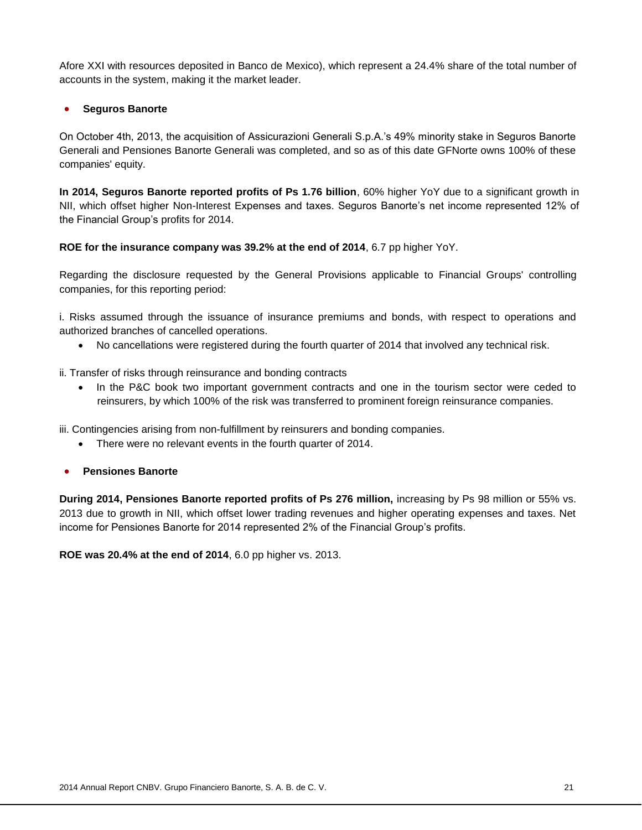Afore XXI with resources deposited in Banco de Mexico), which represent a 24.4% share of the total number of accounts in the system, making it the market leader.

# **Seguros Banorte**

On October 4th, 2013, the acquisition of Assicurazioni Generali S.p.A.'s 49% minority stake in Seguros Banorte Generali and Pensiones Banorte Generali was completed, and so as of this date GFNorte owns 100% of these companies' equity.

**In 2014, Seguros Banorte reported profits of Ps 1.76 billion**, 60% higher YoY due to a significant growth in NII, which offset higher Non-Interest Expenses and taxes. Seguros Banorte's net income represented 12% of the Financial Group's profits for 2014.

**ROE for the insurance company was 39.2% at the end of 2014**, 6.7 pp higher YoY.

Regarding the disclosure requested by the General Provisions applicable to Financial Groups' controlling companies, for this reporting period:

i. Risks assumed through the issuance of insurance premiums and bonds, with respect to operations and authorized branches of cancelled operations.

- No cancellations were registered during the fourth quarter of 2014 that involved any technical risk.
- ii. Transfer of risks through reinsurance and bonding contracts
	- In the P&C book two important government contracts and one in the tourism sector were ceded to reinsurers, by which 100% of the risk was transferred to prominent foreign reinsurance companies.

iii. Contingencies arising from non-fulfillment by reinsurers and bonding companies.

- There were no relevant events in the fourth quarter of 2014.
- **Pensiones Banorte**

**During 2014, Pensiones Banorte reported profits of Ps 276 million,** increasing by Ps 98 million or 55% vs. 2013 due to growth in NII, which offset lower trading revenues and higher operating expenses and taxes. Net income for Pensiones Banorte for 2014 represented 2% of the Financial Group's profits.

**ROE was 20.4% at the end of 2014**, 6.0 pp higher vs. 2013.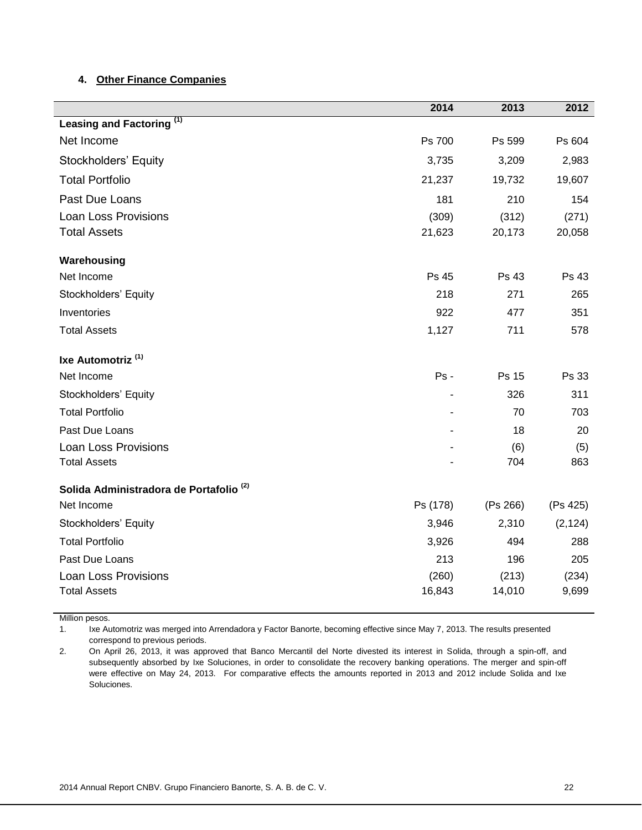# **4. Other Finance Companies**

|                                                    | 2014           | 2013     | 2012     |
|----------------------------------------------------|----------------|----------|----------|
| Leasing and Factoring <sup>(1)</sup>               |                |          |          |
| Net Income                                         | Ps 700         | Ps 599   | Ps 604   |
| Stockholders' Equity                               | 3,735          | 3,209    | 2,983    |
| <b>Total Portfolio</b>                             | 21,237         | 19,732   | 19,607   |
| Past Due Loans                                     | 181            | 210      | 154      |
| <b>Loan Loss Provisions</b>                        | (309)          | (312)    | (271)    |
| <b>Total Assets</b>                                | 21,623         | 20,173   | 20,058   |
| Warehousing                                        |                |          |          |
| Net Income                                         | Ps 45          | Ps 43    | Ps 43    |
| Stockholders' Equity                               | 218            | 271      | 265      |
| Inventories                                        | 922            | 477      | 351      |
| <b>Total Assets</b>                                | 1,127          | 711      | 578      |
| Ixe Automotriz <sup>(1)</sup>                      |                |          |          |
| Net Income                                         | Ps -           | Ps 15    | Ps 33    |
| Stockholders' Equity                               |                | 326      | 311      |
| <b>Total Portfolio</b>                             | $\blacksquare$ | 70       | 703      |
| Past Due Loans                                     |                | 18       | 20       |
| <b>Loan Loss Provisions</b>                        |                | (6)      | (5)      |
| <b>Total Assets</b>                                |                | 704      | 863      |
| Solida Administradora de Portafolio <sup>(2)</sup> |                |          |          |
| Net Income                                         | Ps (178)       | (Ps 266) | (Ps 425) |
| Stockholders' Equity                               | 3,946          | 2,310    | (2, 124) |
| <b>Total Portfolio</b>                             | 3,926          | 494      | 288      |
| Past Due Loans                                     | 213            | 196      | 205      |
| <b>Loan Loss Provisions</b>                        | (260)          | (213)    | (234)    |
| <b>Total Assets</b>                                | 16,843         | 14,010   | 9,699    |

Million pesos.

1. Ixe Automotriz was merged into Arrendadora y Factor Banorte, becoming effective since May 7, 2013. The results presented correspond to previous periods.

2. On April 26, 2013, it was approved that Banco Mercantil del Norte divested its interest in Solida, through a spin-off, and subsequently absorbed by Ixe Soluciones, in order to consolidate the recovery banking operations. The merger and spin-off were effective on May 24, 2013. For comparative effects the amounts reported in 2013 and 2012 include Solida and Ixe Soluciones.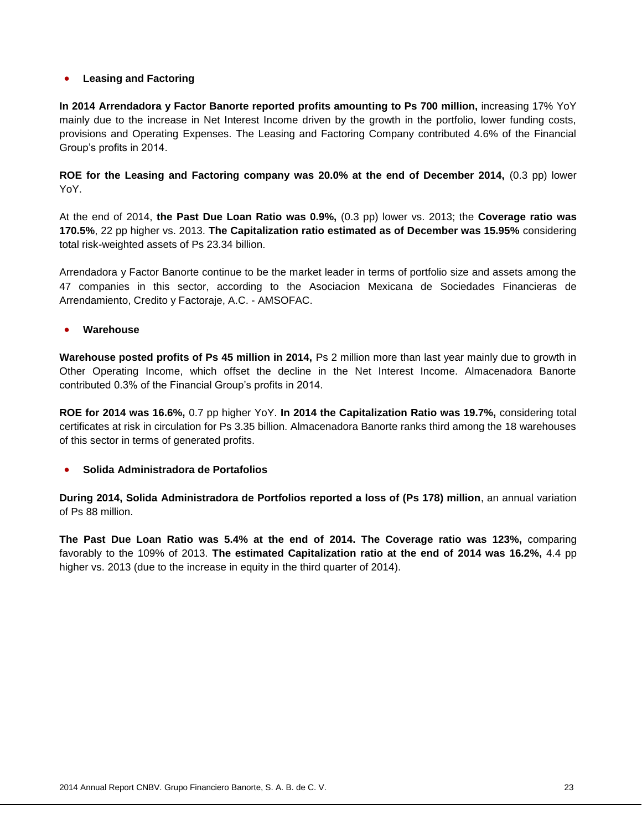# **Leasing and Factoring**

**In 2014 Arrendadora y Factor Banorte reported profits amounting to Ps 700 million,** increasing 17% YoY mainly due to the increase in Net Interest Income driven by the growth in the portfolio, lower funding costs, provisions and Operating Expenses. The Leasing and Factoring Company contributed 4.6% of the Financial Group's profits in 2014.

**ROE for the Leasing and Factoring company was 20.0% at the end of December 2014,** (0.3 pp) lower YoY.

At the end of 2014, **the Past Due Loan Ratio was 0.9%,** (0.3 pp) lower vs. 2013; the **Coverage ratio was 170.5%**, 22 pp higher vs. 2013. **The Capitalization ratio estimated as of December was 15.95%** considering total risk-weighted assets of Ps 23.34 billion.

Arrendadora y Factor Banorte continue to be the market leader in terms of portfolio size and assets among the 47 companies in this sector, according to the Asociacion Mexicana de Sociedades Financieras de Arrendamiento, Credito y Factoraje, A.C. - AMSOFAC.

### **Warehouse**

**Warehouse posted profits of Ps 45 million in 2014,** Ps 2 million more than last year mainly due to growth in Other Operating Income, which offset the decline in the Net Interest Income. Almacenadora Banorte contributed 0.3% of the Financial Group's profits in 2014.

**ROE for 2014 was 16.6%,** 0.7 pp higher YoY. **In 2014 the Capitalization Ratio was 19.7%,** considering total certificates at risk in circulation for Ps 3.35 billion. Almacenadora Banorte ranks third among the 18 warehouses of this sector in terms of generated profits.

# **Solida Administradora de Portafolios**

**During 2014, Solida Administradora de Portfolios reported a loss of (Ps 178) million**, an annual variation of Ps 88 million.

**The Past Due Loan Ratio was 5.4% at the end of 2014. The Coverage ratio was 123%,** comparing favorably to the 109% of 2013. **The estimated Capitalization ratio at the end of 2014 was 16.2%,** 4.4 pp higher vs. 2013 (due to the increase in equity in the third quarter of 2014).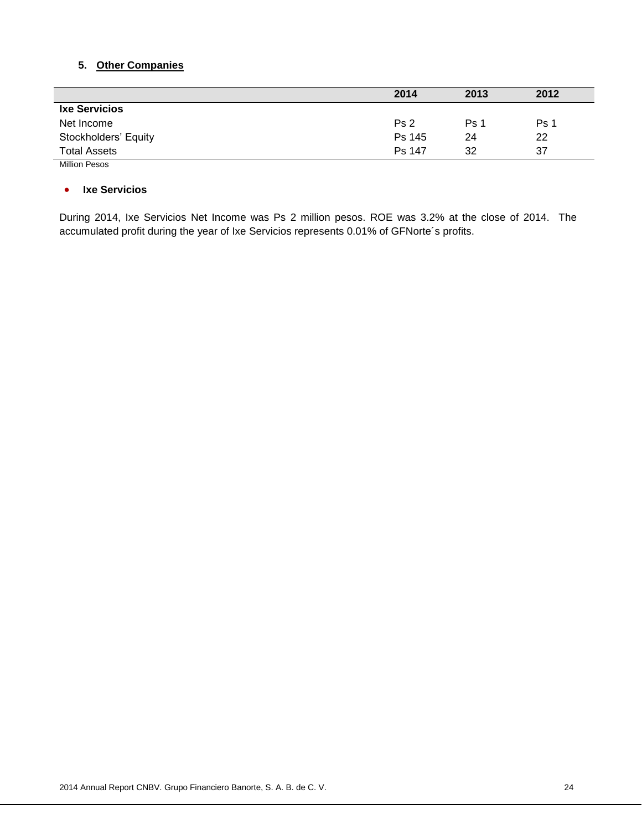# **5. Other Companies**

|                      | 2014            | 2013 | 2012 |
|----------------------|-----------------|------|------|
| <b>Ixe Servicios</b> |                 |      |      |
| Net Income           | Ps <sub>2</sub> | Ps 1 | Ps 1 |
| Stockholders' Equity | Ps 145          | 24   | 22   |
| <b>Total Assets</b>  | Ps 147          | 32   | 37   |
| <b>Million Pesos</b> |                 |      |      |

#### **Ixe Servicios**

During 2014, Ixe Servicios Net Income was Ps 2 million pesos. ROE was 3.2% at the close of 2014. The accumulated profit during the year of Ixe Servicios represents 0.01% of GFNorte´s profits.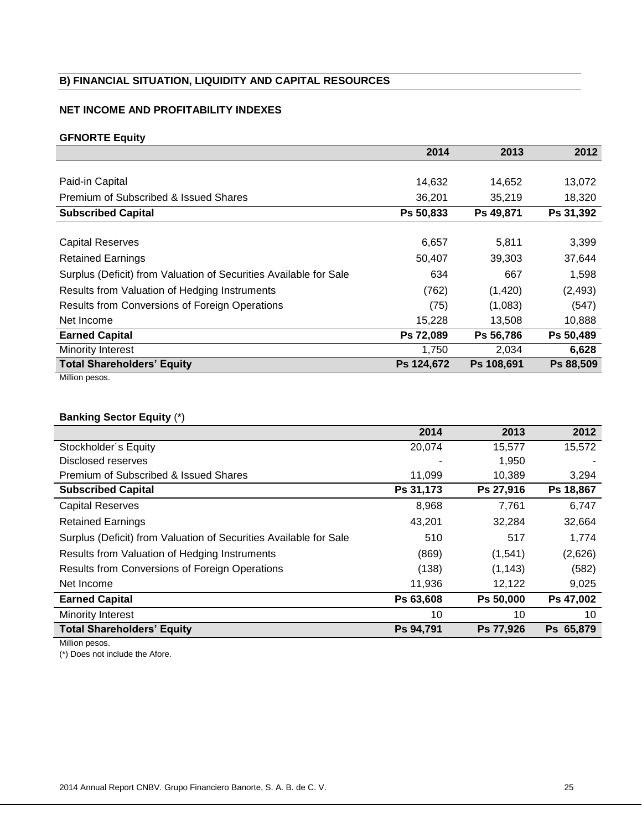# **B) FINANCIAL SITUATION, LIQUIDITY AND CAPITAL RESOURCES**

# **NET INCOME AND PROFITABILITY INDEXES**

# **GFNORTE Equity**

|                                                                   | 2014       | 2013       | 2012      |
|-------------------------------------------------------------------|------------|------------|-----------|
|                                                                   |            |            |           |
| Paid-in Capital                                                   | 14,632     | 14,652     | 13,072    |
| Premium of Subscribed & Issued Shares                             | 36,201     | 35,219     | 18,320    |
| <b>Subscribed Capital</b>                                         | Ps 50,833  | Ps 49,871  | Ps 31,392 |
|                                                                   |            |            |           |
| <b>Capital Reserves</b>                                           | 6,657      | 5,811      | 3,399     |
| <b>Retained Earnings</b>                                          | 50,407     | 39,303     | 37,644    |
| Surplus (Deficit) from Valuation of Securities Available for Sale | 634        | 667        | 1,598     |
| Results from Valuation of Hedging Instruments                     | (762)      | (1,420)    | (2, 493)  |
| Results from Conversions of Foreign Operations                    | (75)       | (1,083)    | (547)     |
| Net Income                                                        | 15,228     | 13,508     | 10,888    |
| <b>Earned Capital</b>                                             | Ps 72,089  | Ps 56,786  | Ps 50,489 |
| Minority Interest                                                 | 1,750      | 2,034      | 6,628     |
| <b>Total Shareholders' Equity</b>                                 | Ps 124,672 | Ps 108,691 | Ps 88,509 |
| Million pesos.                                                    |            |            |           |

# **Banking Sector Equity** (\*)

|                                                                   | 2014      | 2013      | 2012      |
|-------------------------------------------------------------------|-----------|-----------|-----------|
| Stockholder's Equity                                              | 20,074    | 15,577    | 15,572    |
| Disclosed reserves                                                |           | 1,950     |           |
| Premium of Subscribed & Issued Shares                             | 11,099    | 10,389    | 3,294     |
| <b>Subscribed Capital</b>                                         | Ps 31,173 | Ps 27,916 | Ps 18,867 |
| <b>Capital Reserves</b>                                           | 8,968     | 7,761     | 6,747     |
| <b>Retained Earnings</b>                                          | 43,201    | 32,284    | 32,664    |
| Surplus (Deficit) from Valuation of Securities Available for Sale | 510       | 517       | 1,774     |
| Results from Valuation of Hedging Instruments                     | (869)     | (1,541)   | (2,626)   |
| <b>Results from Conversions of Foreign Operations</b>             | (138)     | (1, 143)  | (582)     |
| Net Income                                                        | 11,936    | 12,122    | 9,025     |
| <b>Earned Capital</b>                                             | Ps 63,608 | Ps 50,000 | Ps 47,002 |
| Minority Interest                                                 | 10        | 10        | 10        |
| <b>Total Shareholders' Equity</b>                                 | Ps 94,791 | Ps 77,926 | Ps 65,879 |

Million pesos.

(\*) Does not include the Afore.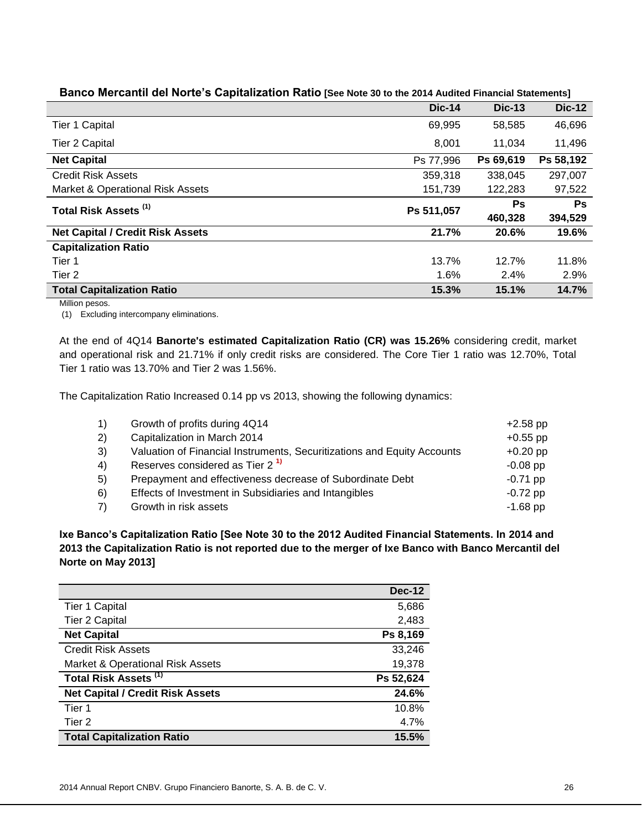|                                             | <b>Dic-14</b> | <b>Dic-13</b> | <b>Dic-12</b> |
|---------------------------------------------|---------------|---------------|---------------|
| <b>Tier 1 Capital</b>                       | 69,995        | 58,585        | 46,696        |
| Tier 2 Capital                              | 8,001         | 11,034        | 11,496        |
| <b>Net Capital</b>                          | Ps 77,996     | Ps 69,619     | Ps 58,192     |
| <b>Credit Risk Assets</b>                   | 359,318       | 338,045       | 297,007       |
| <b>Market &amp; Operational Risk Assets</b> | 151,739       | 122,283       | 97,522        |
| Total Risk Assets <sup>(1)</sup>            | Ps 511,057    | <b>Ps</b>     | Ps            |
|                                             |               | 460,328       | 394,529       |
| <b>Net Capital / Credit Risk Assets</b>     | 21.7%         | 20.6%         | 19.6%         |
| <b>Capitalization Ratio</b>                 |               |               |               |
| Tier 1                                      | 13.7%         | 12.7%         | 11.8%         |
| Tier 2                                      | 1.6%          | 2.4%          | 2.9%          |
| <b>Total Capitalization Ratio</b>           | 15.3%         | 15.1%         | 14.7%         |

# **Banco Mercantil del Norte's Capitalization Ratio [See Note 30 to the 2014 Audited Financial Statements]**

Million pesos.

(1) Excluding intercompany eliminations.

At the end of 4Q14 **Banorte's estimated Capitalization Ratio (CR) was 15.26%** considering credit, market and operational risk and 21.71% if only credit risks are considered. The Core Tier 1 ratio was 12.70%, Total Tier 1 ratio was 13.70% and Tier 2 was 1.56%.

The Capitalization Ratio Increased 0.14 pp vs 2013, showing the following dynamics:

| 1)            | Growth of profits during 4Q14                                           | $+2.58$ pp |
|---------------|-------------------------------------------------------------------------|------------|
| 2)            | Capitalization in March 2014                                            | $+0.55$ pp |
| 3)            | Valuation of Financial Instruments, Securitizations and Equity Accounts | $+0.20$ pp |
| 4)            | Reserves considered as Tier 2 <sup>1)</sup>                             | $-0.08$ pp |
| -5)           | Prepayment and effectiveness decrease of Subordinate Debt               | $-0.71$ pp |
| <sup>6)</sup> | Effects of Investment in Subsidiaries and Intangibles                   | $-0.72$ pp |
| 7)            | Growth in risk assets                                                   | $-1.68$ pp |
|               |                                                                         |            |

**Ixe Banco's Capitalization Ratio [See Note 30 to the 2012 Audited Financial Statements. In 2014 and 2013 the Capitalization Ratio is not reported due to the merger of Ixe Banco with Banco Mercantil del Norte on May 2013]**

|                                         | <b>Dec-12</b> |
|-----------------------------------------|---------------|
| <b>Tier 1 Capital</b>                   | 5,686         |
| <b>Tier 2 Capital</b>                   | 2,483         |
| <b>Net Capital</b>                      | Ps 8,169      |
| <b>Credit Risk Assets</b>               | 33,246        |
| Market & Operational Risk Assets        | 19,378        |
| Total Risk Assets <sup>(1)</sup>        | Ps 52,624     |
| <b>Net Capital / Credit Risk Assets</b> | 24.6%         |
| Tier 1                                  | 10.8%         |
| Tier <sub>2</sub>                       | 4.7%          |
| <b>Total Capitalization Ratio</b>       | 15.5%         |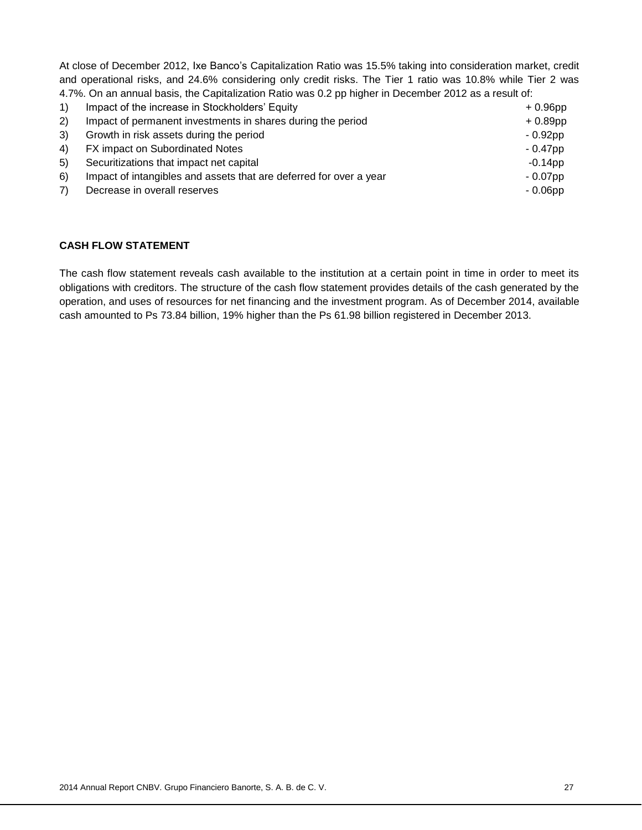At close of December 2012, Ixe Banco's Capitalization Ratio was 15.5% taking into consideration market, credit and operational risks, and 24.6% considering only credit risks. The Tier 1 ratio was 10.8% while Tier 2 was 4.7%. On an annual basis, the Capitalization Ratio was 0.2 pp higher in December 2012 as a result of:

| 1) | Impact of the increase in Stockholders' Equity                     | $+0.96$ pp |
|----|--------------------------------------------------------------------|------------|
| 2) | Impact of permanent investments in shares during the period        | $+0.89$ pp |
| 3) | Growth in risk assets during the period                            | $-0.92$ pp |
| 4) | FX impact on Subordinated Notes                                    | $-0.47$ pp |
| 5) | Securitizations that impact net capital                            | $-0.14$ pp |
| 6) | Impact of intangibles and assets that are deferred for over a year | $-0.07$ pp |
| 7) | Decrease in overall reserves                                       | $-0.06$ pp |
|    |                                                                    |            |

# **CASH FLOW STATEMENT**

The cash flow statement reveals cash available to the institution at a certain point in time in order to meet its obligations with creditors. The structure of the cash flow statement provides details of the cash generated by the operation, and uses of resources for net financing and the investment program. As of December 2014, available cash amounted to Ps 73.84 billion, 19% higher than the Ps 61.98 billion registered in December 2013.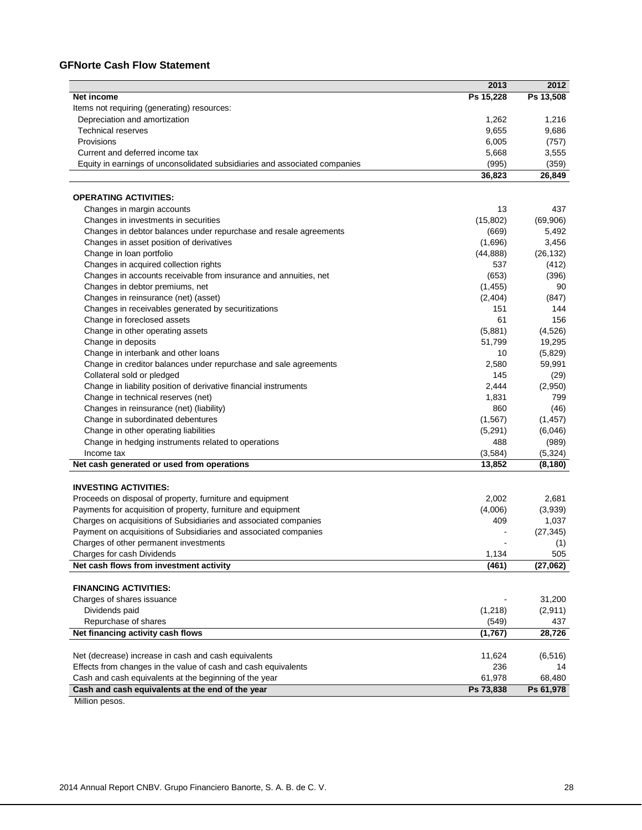# **GFNorte Cash Flow Statement**

|                                                                                    | 2013             | 2012               |
|------------------------------------------------------------------------------------|------------------|--------------------|
| <b>Net income</b>                                                                  | Ps 15,228        | Ps 13,508          |
| Items not requiring (generating) resources:                                        |                  |                    |
| Depreciation and amortization                                                      | 1,262            | 1,216              |
| <b>Technical reserves</b>                                                          | 9,655            | 9,686              |
| Provisions                                                                         | 6,005            | (757)              |
| Current and deferred income tax                                                    | 5,668            | 3,555              |
| Equity in earnings of unconsolidated subsidiaries and associated companies         | (995)            | (359)              |
|                                                                                    | 36,823           | 26,849             |
| <b>OPERATING ACTIVITIES:</b>                                                       |                  |                    |
| Changes in margin accounts                                                         | 13               | 437                |
| Changes in investments in securities                                               | (15, 802)        | (69,906)           |
| Changes in debtor balances under repurchase and resale agreements                  | (669)            | 5,492              |
| Changes in asset position of derivatives                                           | (1,696)          | 3,456              |
| Change in loan portfolio                                                           | (44, 888)        | (26, 132)          |
| Changes in acquired collection rights                                              | 537              | (412)              |
| Changes in accounts receivable from insurance and annuities, net                   | (653)            | (396)              |
| Changes in debtor premiums, net                                                    | (1, 455)         | 90                 |
| Changes in reinsurance (net) (asset)                                               | (2,404)          | (847)              |
|                                                                                    | 151              | 144                |
| Changes in receivables generated by securitizations<br>Change in foreclosed assets | 61               | 156                |
| Change in other operating assets                                                   |                  |                    |
|                                                                                    | (5,881)          | (4, 526)<br>19,295 |
| Change in deposits                                                                 | 51,799           |                    |
| Change in interbank and other loans                                                | 10               | (5,829)            |
| Change in creditor balances under repurchase and sale agreements                   | 2,580            | 59,991             |
| Collateral sold or pledged                                                         | 145              | (29)               |
| Change in liability position of derivative financial instruments                   | 2,444            | (2,950)            |
| Change in technical reserves (net)                                                 | 1,831            | 799                |
| Changes in reinsurance (net) (liability)                                           | 860              | (46)               |
| Change in subordinated debentures                                                  | (1, 567)         | (1, 457)           |
| Change in other operating liabilities                                              | (5,291)          | (6,046)            |
| Change in hedging instruments related to operations                                | 488              | (989)              |
| Income tax                                                                         | (3,584)          | (5, 324)           |
| Net cash generated or used from operations                                         | 13,852           | (8, 180)           |
| <b>INVESTING ACTIVITIES:</b>                                                       |                  |                    |
| Proceeds on disposal of property, furniture and equipment                          | 2,002            | 2,681              |
| Payments for acquisition of property, furniture and equipment                      | (4,006)          | (3,939)            |
| Charges on acquisitions of Subsidiaries and associated companies                   | 409              | 1,037              |
| Payment on acquisitions of Subsidiaries and associated companies                   |                  | (27, 345)          |
| Charges of other permanent investments                                             |                  | (1)                |
| Charges for cash Dividends                                                         | 1,134            | 505                |
| Net cash flows from investment activity                                            | (461)            | (27,062)           |
| <b>FINANCING ACTIVITIES:</b>                                                       |                  |                    |
| Charges of shares issuance                                                         |                  | 31,200             |
| Dividends paid                                                                     |                  |                    |
| Repurchase of shares                                                               | (1,218)          | (2,911)            |
| Net financing activity cash flows                                                  | (549)<br>(1,767) | 437<br>28,726      |
|                                                                                    |                  |                    |
| Net (decrease) increase in cash and cash equivalents                               | 11,624           | (6, 516)           |
| Effects from changes in the value of cash and cash equivalents                     | 236              | 14                 |
| Cash and cash equivalents at the beginning of the year                             | 61,978           | 68,480             |
| Cash and cash equivalents at the end of the year                                   | Ps 73,838        | Ps 61,978          |

Million pesos.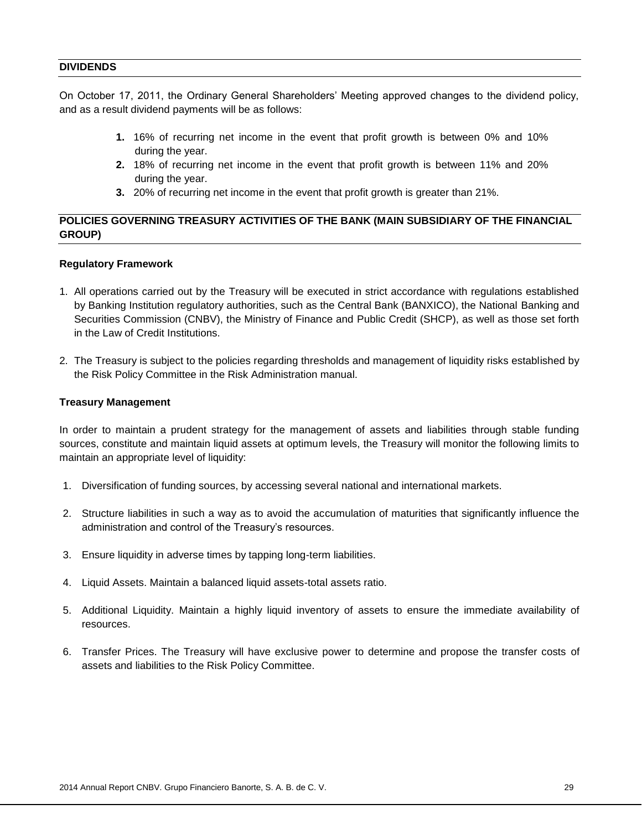#### **DIVIDENDS**

On October 17, 2011, the Ordinary General Shareholders' Meeting approved changes to the dividend policy, and as a result dividend payments will be as follows:

- **1.** 16% of recurring net income in the event that profit growth is between 0% and 10% during the year.
- **2.** 18% of recurring net income in the event that profit growth is between 11% and 20% during the year.
- **3.** 20% of recurring net income in the event that profit growth is greater than 21%.

# **POLICIES GOVERNING TREASURY ACTIVITIES OF THE BANK (MAIN SUBSIDIARY OF THE FINANCIAL GROUP)**

#### **Regulatory Framework**

- 1. All operations carried out by the Treasury will be executed in strict accordance with regulations established by Banking Institution regulatory authorities, such as the Central Bank (BANXICO), the National Banking and Securities Commission (CNBV), the Ministry of Finance and Public Credit (SHCP), as well as those set forth in the Law of Credit Institutions.
- 2. The Treasury is subject to the policies regarding thresholds and management of liquidity risks established by the Risk Policy Committee in the Risk Administration manual.

#### **Treasury Management**

In order to maintain a prudent strategy for the management of assets and liabilities through stable funding sources, constitute and maintain liquid assets at optimum levels, the Treasury will monitor the following limits to maintain an appropriate level of liquidity:

- 1. Diversification of funding sources, by accessing several national and international markets.
- 2. Structure liabilities in such a way as to avoid the accumulation of maturities that significantly influence the administration and control of the Treasury's resources.
- 3. Ensure liquidity in adverse times by tapping long-term liabilities.
- 4. Liquid Assets. Maintain a balanced liquid assets-total assets ratio.
- 5. Additional Liquidity. Maintain a highly liquid inventory of assets to ensure the immediate availability of resources.
- 6. Transfer Prices. The Treasury will have exclusive power to determine and propose the transfer costs of assets and liabilities to the Risk Policy Committee.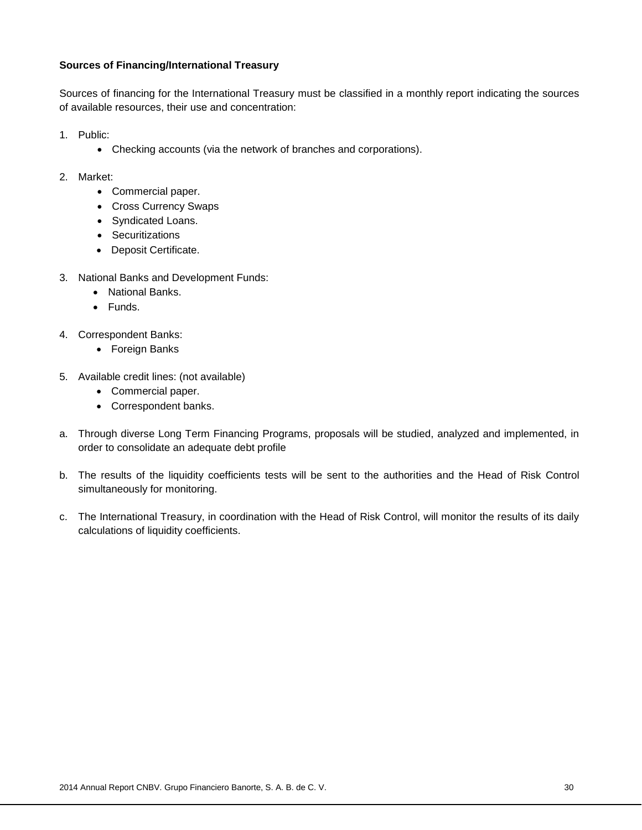# **Sources of Financing/International Treasury**

Sources of financing for the International Treasury must be classified in a monthly report indicating the sources of available resources, their use and concentration:

- 1. Public:
	- Checking accounts (via the network of branches and corporations).
- 2. Market:
	- Commercial paper.
	- Cross Currency Swaps
	- Syndicated Loans.
	- Securitizations
	- Deposit Certificate.
- 3. National Banks and Development Funds:
	- National Banks.
	- Funds.
- 4. Correspondent Banks:
	- Foreign Banks
- 5. Available credit lines: (not available)
	- Commercial paper.
	- Correspondent banks.
- a. Through diverse Long Term Financing Programs, proposals will be studied, analyzed and implemented, in order to consolidate an adequate debt profile
- b. The results of the liquidity coefficients tests will be sent to the authorities and the Head of Risk Control simultaneously for monitoring.
- c. The International Treasury, in coordination with the Head of Risk Control, will monitor the results of its daily calculations of liquidity coefficients.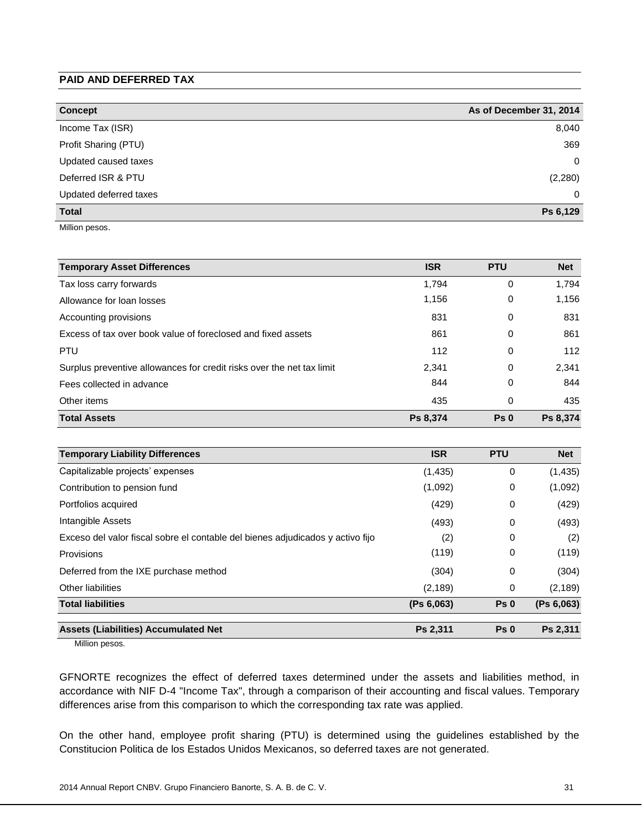# **PAID AND DEFERRED TAX**

| <b>Concept</b>         | As of December 31, 2014 |
|------------------------|-------------------------|
| Income Tax (ISR)       | 8,040                   |
| Profit Sharing (PTU)   | 369                     |
| Updated caused taxes   | 0                       |
| Deferred ISR & PTU     | (2,280)                 |
| Updated deferred taxes | 0                       |
| <b>Total</b>           | Ps 6,129                |

Million pesos.

| <b>Temporary Asset Differences</b>                                    | <b>ISR</b> | <b>PTU</b>      | <b>Net</b> |
|-----------------------------------------------------------------------|------------|-----------------|------------|
| Tax loss carry forwards                                               | 1.794      | 0               | 1.794      |
| Allowance for loan losses                                             | 1,156      | 0               | 1,156      |
| Accounting provisions                                                 | 831        | 0               | 831        |
| Excess of tax over book value of foreclosed and fixed assets          | 861        | 0               | 861        |
| <b>PTU</b>                                                            | 112        | 0               | 112        |
| Surplus preventive allowances for credit risks over the net tax limit | 2,341      | 0               | 2,341      |
| Fees collected in advance                                             | 844        | 0               | 844        |
| Other items                                                           | 435        | 0               | 435        |
| <b>Total Assets</b>                                                   | Ps 8,374   | Ps <sub>0</sub> | Ps 8,374   |

| <b>Temporary Liability Differences</b>                                         | <b>ISR</b> | <b>PTU</b>      | <b>Net</b> |
|--------------------------------------------------------------------------------|------------|-----------------|------------|
| Capitalizable projects' expenses                                               | (1, 435)   | 0               | (1, 435)   |
| Contribution to pension fund                                                   | (1,092)    | 0               | (1,092)    |
| Portfolios acquired                                                            | (429)      | 0               | (429)      |
| Intangible Assets                                                              | (493)      | 0               | (493)      |
| Exceso del valor fiscal sobre el contable del bienes adjudicados y activo fijo | (2)        | $\Omega$        | (2)        |
| Provisions                                                                     | (119)      | 0               | (119)      |
| Deferred from the IXE purchase method                                          | (304)      | 0               | (304)      |
| Other liabilities                                                              | (2, 189)   | 0               | (2, 189)   |
| <b>Total liabilities</b>                                                       | (Ps 6,063) | Ps <sub>0</sub> | (Ps 6,063) |
| <b>Assets (Liabilities) Accumulated Net</b>                                    | Ps 2,311   | Ps <sub>0</sub> | Ps 2,311   |

Million pesos.

GFNORTE recognizes the effect of deferred taxes determined under the assets and liabilities method, in accordance with NIF D-4 "Income Tax", through a comparison of their accounting and fiscal values. Temporary differences arise from this comparison to which the corresponding tax rate was applied.

On the other hand, employee profit sharing (PTU) is determined using the guidelines established by the Constitucion Politica de los Estados Unidos Mexicanos, so deferred taxes are not generated.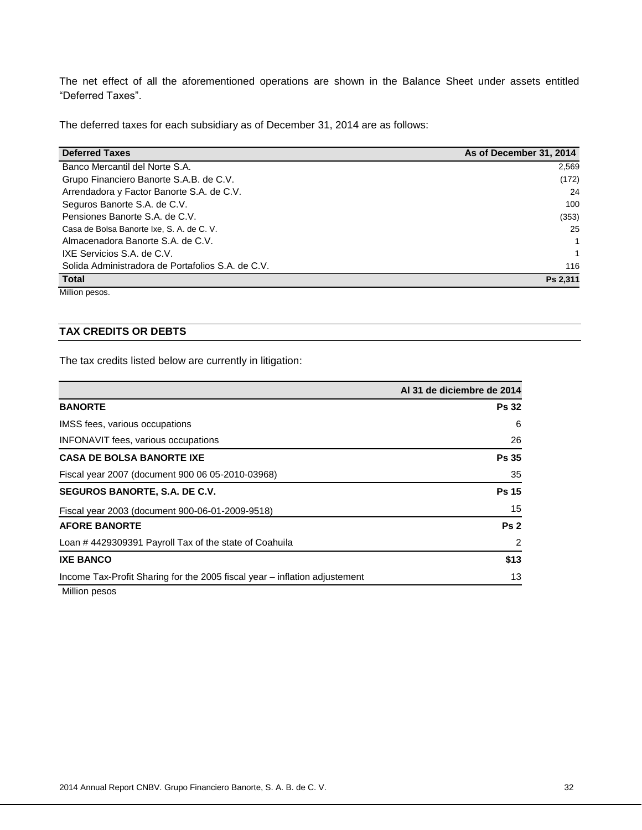The net effect of all the aforementioned operations are shown in the Balance Sheet under assets entitled "Deferred Taxes".

The deferred taxes for each subsidiary as of December 31, 2014 are as follows:

| <b>Deferred Taxes</b>                             | As of December 31, 2014 |
|---------------------------------------------------|-------------------------|
| Banco Mercantil del Norte S.A.                    | 2,569                   |
| Grupo Financiero Banorte S.A.B. de C.V.           | (172)                   |
| Arrendadora y Factor Banorte S.A. de C.V.         | 24                      |
| Seguros Banorte S.A. de C.V.                      | 100                     |
| Pensiones Banorte S.A. de C.V.                    | (353)                   |
| Casa de Bolsa Banorte Ixe, S. A. de C. V.         | 25                      |
| Almacenadora Banorte S.A. de C.V.                 | 1                       |
| IXE Servicios S.A. de C.V.                        | 1                       |
| Solida Administradora de Portafolios S.A. de C.V. | 116                     |
| <b>Total</b>                                      | Ps 2,311                |

Million pesos.

# **TAX CREDITS OR DEBTS**

The tax credits listed below are currently in litigation:

|                                                                            | Al 31 de diciembre de 2014 |
|----------------------------------------------------------------------------|----------------------------|
| <b>BANORTE</b>                                                             | <b>Ps 32</b>               |
| IMSS fees, various occupations                                             | 6                          |
| INFONAVIT fees, various occupations                                        | 26                         |
| <b>CASA DE BOLSA BANORTE IXE</b>                                           | <b>Ps 35</b>               |
| Fiscal year 2007 (document 900 06 05-2010-03968)                           | 35                         |
| SEGUROS BANORTE, S.A. DE C.V.                                              | <b>Ps 15</b>               |
| Fiscal year 2003 (document 900-06-01-2009-9518)                            | 15                         |
| <b>AFORE BANORTE</b>                                                       | Ps <sub>2</sub>            |
| Loan #4429309391 Payroll Tax of the state of Coahuila                      | 2                          |
| <b>IXE BANCO</b>                                                           | \$13                       |
| Income Tax-Profit Sharing for the 2005 fiscal year – inflation adjustement | 13                         |
| Million pesos                                                              |                            |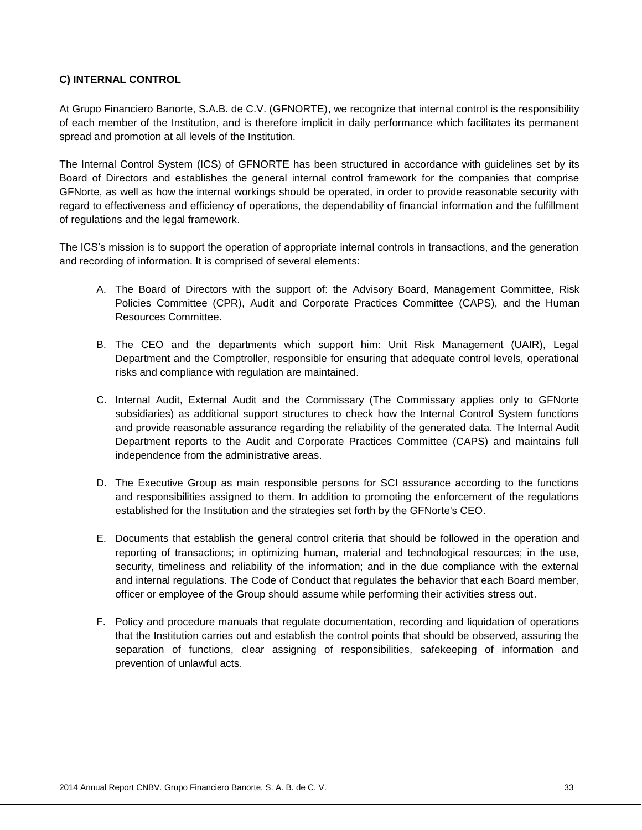# **C) INTERNAL CONTROL**

At Grupo Financiero Banorte, S.A.B. de C.V. (GFNORTE), we recognize that internal control is the responsibility of each member of the Institution, and is therefore implicit in daily performance which facilitates its permanent spread and promotion at all levels of the Institution.

The Internal Control System (ICS) of GFNORTE has been structured in accordance with guidelines set by its Board of Directors and establishes the general internal control framework for the companies that comprise GFNorte, as well as how the internal workings should be operated, in order to provide reasonable security with regard to effectiveness and efficiency of operations, the dependability of financial information and the fulfillment of regulations and the legal framework.

The ICS's mission is to support the operation of appropriate internal controls in transactions, and the generation and recording of information. It is comprised of several elements:

- A. The Board of Directors with the support of: the Advisory Board, Management Committee, Risk Policies Committee (CPR), Audit and Corporate Practices Committee (CAPS), and the Human Resources Committee.
- B. The CEO and the departments which support him: Unit Risk Management (UAIR), Legal Department and the Comptroller, responsible for ensuring that adequate control levels, operational risks and compliance with regulation are maintained.
- C. Internal Audit, External Audit and the Commissary (The Commissary applies only to GFNorte subsidiaries) as additional support structures to check how the Internal Control System functions and provide reasonable assurance regarding the reliability of the generated data. The Internal Audit Department reports to the Audit and Corporate Practices Committee (CAPS) and maintains full independence from the administrative areas.
- D. The Executive Group as main responsible persons for SCI assurance according to the functions and responsibilities assigned to them. In addition to promoting the enforcement of the regulations established for the Institution and the strategies set forth by the GFNorte's CEO.
- E. Documents that establish the general control criteria that should be followed in the operation and reporting of transactions; in optimizing human, material and technological resources; in the use, security, timeliness and reliability of the information; and in the due compliance with the external and internal regulations. The Code of Conduct that regulates the behavior that each Board member, officer or employee of the Group should assume while performing their activities stress out.
- F. Policy and procedure manuals that regulate documentation, recording and liquidation of operations that the Institution carries out and establish the control points that should be observed, assuring the separation of functions, clear assigning of responsibilities, safekeeping of information and prevention of unlawful acts.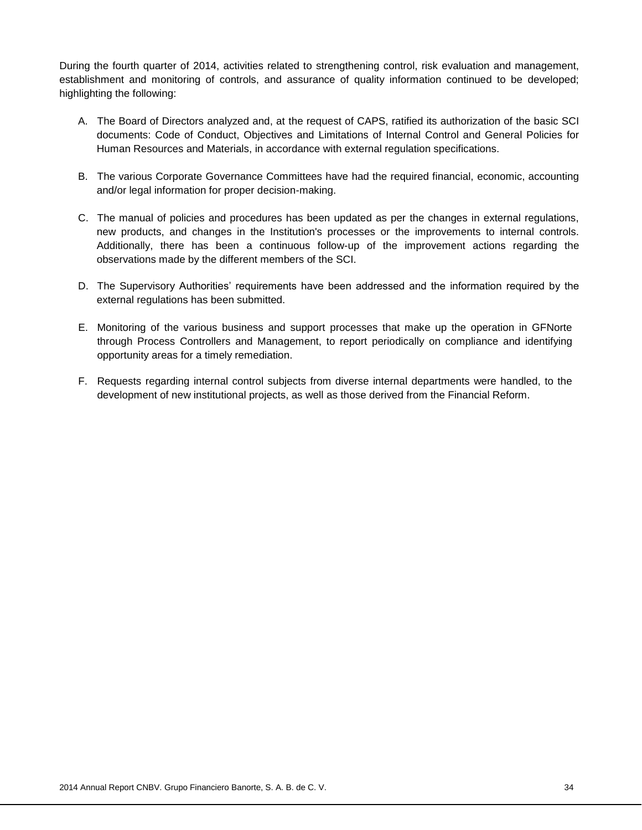During the fourth quarter of 2014, activities related to strengthening control, risk evaluation and management, establishment and monitoring of controls, and assurance of quality information continued to be developed; highlighting the following:

- A. The Board of Directors analyzed and, at the request of CAPS, ratified its authorization of the basic SCI documents: Code of Conduct, Objectives and Limitations of Internal Control and General Policies for Human Resources and Materials, in accordance with external regulation specifications.
- B. The various Corporate Governance Committees have had the required financial, economic, accounting and/or legal information for proper decision-making.
- C. The manual of policies and procedures has been updated as per the changes in external regulations, new products, and changes in the Institution's processes or the improvements to internal controls. Additionally, there has been a continuous follow-up of the improvement actions regarding the observations made by the different members of the SCI.
- D. The Supervisory Authorities' requirements have been addressed and the information required by the external regulations has been submitted.
- E. Monitoring of the various business and support processes that make up the operation in GFNorte through Process Controllers and Management, to report periodically on compliance and identifying opportunity areas for a timely remediation.
- F. Requests regarding internal control subjects from diverse internal departments were handled, to the development of new institutional projects, as well as those derived from the Financial Reform.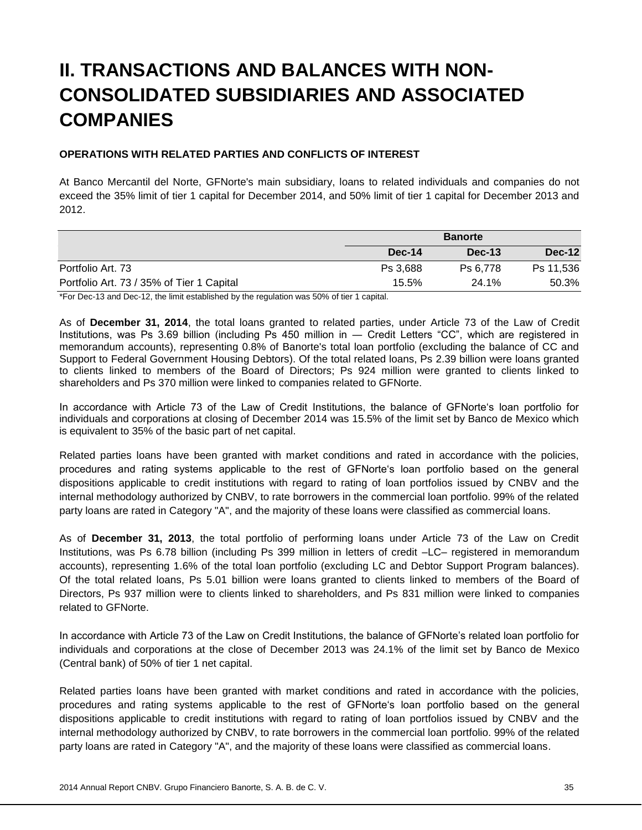# **II. TRANSACTIONS AND BALANCES WITH NON-CONSOLIDATED SUBSIDIARIES AND ASSOCIATED COMPANIES**

# **OPERATIONS WITH RELATED PARTIES AND CONFLICTS OF INTEREST**

At Banco Mercantil del Norte, GFNorte's main subsidiary, loans to related individuals and companies do not exceed the 35% limit of tier 1 capital for December 2014, and 50% limit of tier 1 capital for December 2013 and 2012.

|                                           | <b>Banorte</b> |          |               |
|-------------------------------------------|----------------|----------|---------------|
|                                           | Dec-14         | $Dec-13$ | <b>Dec-12</b> |
| Portfolio Art. 73                         | Ps 3.688       | Ps 6.778 | Ps 11.536     |
| Portfolio Art. 73 / 35% of Tier 1 Capital | 15.5%          | 24.1%    | 50.3%         |

\*For Dec-13 and Dec-12, the limit established by the regulation was 50% of tier 1 capital.

As of **December 31, 2014**, the total loans granted to related parties, under Article 73 of the Law of Credit Institutions, was Ps 3.69 billion (including Ps 450 million in ― Credit Letters "CC", which are registered in memorandum accounts), representing 0.8% of Banorte's total loan portfolio (excluding the balance of CC and Support to Federal Government Housing Debtors). Of the total related loans, Ps 2.39 billion were loans granted to clients linked to members of the Board of Directors; Ps 924 million were granted to clients linked to shareholders and Ps 370 million were linked to companies related to GFNorte.

In accordance with Article 73 of the Law of Credit Institutions, the balance of GFNorte's loan portfolio for individuals and corporations at closing of December 2014 was 15.5% of the limit set by Banco de Mexico which is equivalent to 35% of the basic part of net capital.

Related parties loans have been granted with market conditions and rated in accordance with the policies, procedures and rating systems applicable to the rest of GFNorte's loan portfolio based on the general dispositions applicable to credit institutions with regard to rating of loan portfolios issued by CNBV and the internal methodology authorized by CNBV, to rate borrowers in the commercial loan portfolio. 99% of the related party loans are rated in Category "A", and the majority of these loans were classified as commercial loans.

As of **December 31, 2013**, the total portfolio of performing loans under Article 73 of the Law on Credit Institutions, was Ps 6.78 billion (including Ps 399 million in letters of credit –LC– registered in memorandum accounts), representing 1.6% of the total loan portfolio (excluding LC and Debtor Support Program balances). Of the total related loans, Ps 5.01 billion were loans granted to clients linked to members of the Board of Directors, Ps 937 million were to clients linked to shareholders, and Ps 831 million were linked to companies related to GFNorte.

In accordance with Article 73 of the Law on Credit Institutions, the balance of GFNorte's related loan portfolio for individuals and corporations at the close of December 2013 was 24.1% of the limit set by Banco de Mexico (Central bank) of 50% of tier 1 net capital.

Related parties loans have been granted with market conditions and rated in accordance with the policies, procedures and rating systems applicable to the rest of GFNorte's loan portfolio based on the general dispositions applicable to credit institutions with regard to rating of loan portfolios issued by CNBV and the internal methodology authorized by CNBV, to rate borrowers in the commercial loan portfolio. 99% of the related party loans are rated in Category "A", and the majority of these loans were classified as commercial loans.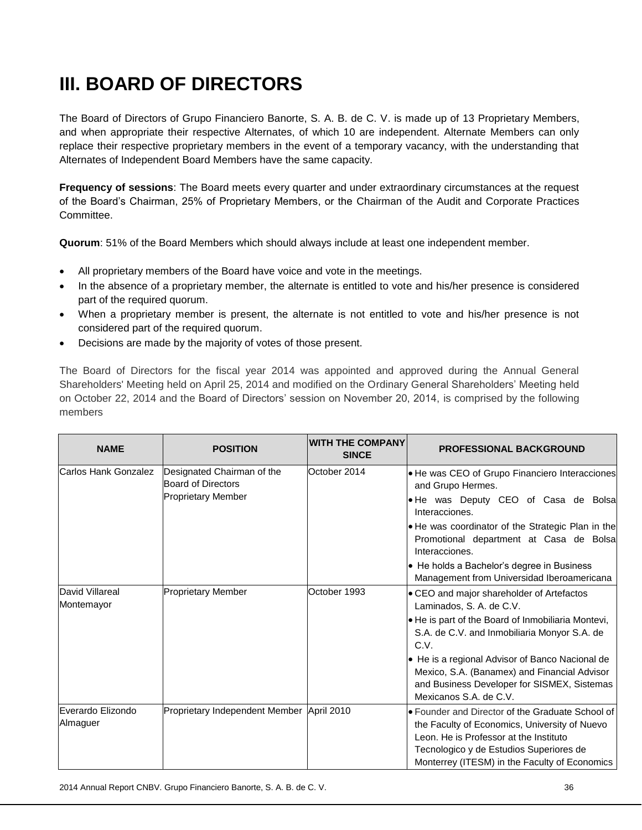# **III. BOARD OF DIRECTORS**

The Board of Directors of Grupo Financiero Banorte, S. A. B. de C. V. is made up of 13 Proprietary Members, and when appropriate their respective Alternates, of which 10 are independent. Alternate Members can only replace their respective proprietary members in the event of a temporary vacancy, with the understanding that Alternates of Independent Board Members have the same capacity.

**Frequency of sessions**: The Board meets every quarter and under extraordinary circumstances at the request of the Board's Chairman, 25% of Proprietary Members, or the Chairman of the Audit and Corporate Practices Committee.

**Quorum**: 51% of the Board Members which should always include at least one independent member.

- All proprietary members of the Board have voice and vote in the meetings.
- In the absence of a proprietary member, the alternate is entitled to vote and his/her presence is considered part of the required quorum.
- When a proprietary member is present, the alternate is not entitled to vote and his/her presence is not considered part of the required quorum.
- Decisions are made by the majority of votes of those present.

The Board of Directors for the fiscal year 2014 was appointed and approved during the Annual General Shareholders' Meeting held on April 25, 2014 and modified on the Ordinary General Shareholders' Meeting held on October 22, 2014 and the Board of Directors' session on November 20, 2014, is comprised by the following members

| <b>NAME</b>                   | <b>POSITION</b>                                                                      | <b>WITH THE COMPANY</b><br><b>SINCE</b> | <b>PROFESSIONAL BACKGROUND</b>                                                                                                                                                                                                                                                                                                                                  |
|-------------------------------|--------------------------------------------------------------------------------------|-----------------------------------------|-----------------------------------------------------------------------------------------------------------------------------------------------------------------------------------------------------------------------------------------------------------------------------------------------------------------------------------------------------------------|
| Carlos Hank Gonzalez          | Designated Chairman of the<br><b>Board of Directors</b><br><b>Proprietary Member</b> | October 2014                            | • He was CEO of Grupo Financiero Interacciones<br>and Grupo Hermes.<br>. He was Deputy CEO of Casa de Bolsa<br>Interacciones.<br>. He was coordinator of the Strategic Plan in the<br>Promotional department at Casa de Bolsa<br>Interacciones.                                                                                                                 |
|                               |                                                                                      |                                         | • He holds a Bachelor's degree in Business<br>Management from Universidad Iberoamericana                                                                                                                                                                                                                                                                        |
| David Villareal<br>Montemayor | <b>Proprietary Member</b>                                                            | October 1993                            | • CEO and major shareholder of Artefactos<br>Laminados, S. A. de C.V.<br>. He is part of the Board of Inmobiliaria Montevi,<br>S.A. de C.V. and Inmobiliaria Monyor S.A. de<br>C.V.<br>• He is a regional Advisor of Banco Nacional de<br>Mexico, S.A. (Banamex) and Financial Advisor<br>and Business Developer for SISMEX, Sistemas<br>Mexicanos S.A. de C.V. |
| Everardo Elizondo<br>Almaguer | Proprietary Independent Member April 2010                                            |                                         | • Founder and Director of the Graduate School of<br>the Faculty of Economics, University of Nuevo<br>Leon. He is Professor at the Instituto<br>Tecnologico y de Estudios Superiores de<br>Monterrey (ITESM) in the Faculty of Economics                                                                                                                         |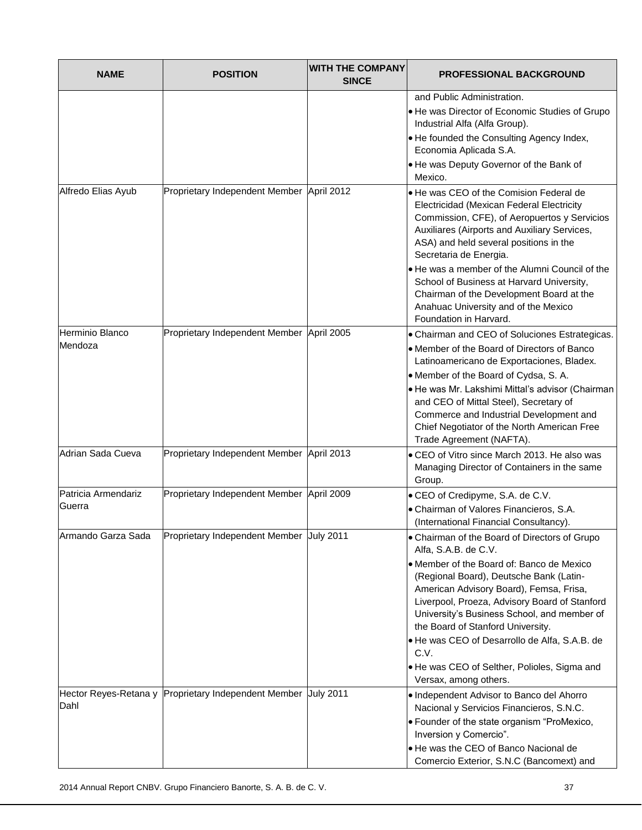| <b>NAME</b>                   | <b>POSITION</b>                                                | <b>WITH THE COMPANY</b><br><b>SINCE</b> | <b>PROFESSIONAL BACKGROUND</b>                                                                                                                                                                                                                                                                                                                                                                                                                                                |
|-------------------------------|----------------------------------------------------------------|-----------------------------------------|-------------------------------------------------------------------------------------------------------------------------------------------------------------------------------------------------------------------------------------------------------------------------------------------------------------------------------------------------------------------------------------------------------------------------------------------------------------------------------|
|                               |                                                                |                                         | and Public Administration.<br>He was Director of Economic Studies of Grupo<br>Industrial Alfa (Alfa Group).<br>. He founded the Consulting Agency Index,<br>Economia Aplicada S.A.<br>. He was Deputy Governor of the Bank of<br>Mexico.                                                                                                                                                                                                                                      |
| Alfredo Elias Ayub            | Proprietary Independent Member April 2012                      |                                         | . He was CEO of the Comision Federal de<br>Electricidad (Mexican Federal Electricity<br>Commission, CFE), of Aeropuertos y Servicios<br>Auxiliares (Airports and Auxiliary Services,<br>ASA) and held several positions in the<br>Secretaria de Energia.<br>. He was a member of the Alumni Council of the<br>School of Business at Harvard University,<br>Chairman of the Development Board at the<br>Anahuac University and of the Mexico<br>Foundation in Harvard.         |
| Herminio Blanco<br>Mendoza    | Proprietary Independent Member April 2005                      |                                         | • Chairman and CEO of Soluciones Estrategicas.<br>• Member of the Board of Directors of Banco<br>Latinoamericano de Exportaciones, Bladex.<br>• Member of the Board of Cydsa, S. A.<br>· He was Mr. Lakshimi Mittal's advisor (Chairman<br>and CEO of Mittal Steel), Secretary of<br>Commerce and Industrial Development and<br>Chief Negotiator of the North American Free<br>Trade Agreement (NAFTA).                                                                       |
| Adrian Sada Cueva             | Proprietary Independent Member April 2013                      |                                         | • CEO of Vitro since March 2013. He also was<br>Managing Director of Containers in the same<br>Group.                                                                                                                                                                                                                                                                                                                                                                         |
| Patricia Armendariz<br>Guerra | Proprietary Independent Member April 2009                      |                                         | • CEO of Credipyme, S.A. de C.V.<br>• Chairman of Valores Financieros, S.A.<br>(International Financial Consultancy).                                                                                                                                                                                                                                                                                                                                                         |
| Armando Garza Sada            | Proprietary Independent Member July 2011                       |                                         | • Chairman of the Board of Directors of Grupo<br>Alfa, S.A.B. de C.V.<br>• Member of the Board of: Banco de Mexico<br>(Regional Board), Deutsche Bank (Latin-<br>American Advisory Board), Femsa, Frisa,<br>Liverpool, Proeza, Advisory Board of Stanford<br>University's Business School, and member of<br>the Board of Stanford University.<br>He was CEO of Desarrollo de Alfa, S.A.B. de<br>C.V.<br>. He was CEO of Selther, Polioles, Sigma and<br>Versax, among others. |
| Dahl                          | Hector Reyes-Retana y Proprietary Independent Member July 2011 |                                         | . Independent Advisor to Banco del Ahorro<br>Nacional y Servicios Financieros, S.N.C.<br>• Founder of the state organism "ProMexico,<br>Inversion y Comercio".<br>. He was the CEO of Banco Nacional de<br>Comercio Exterior, S.N.C (Bancomext) and                                                                                                                                                                                                                           |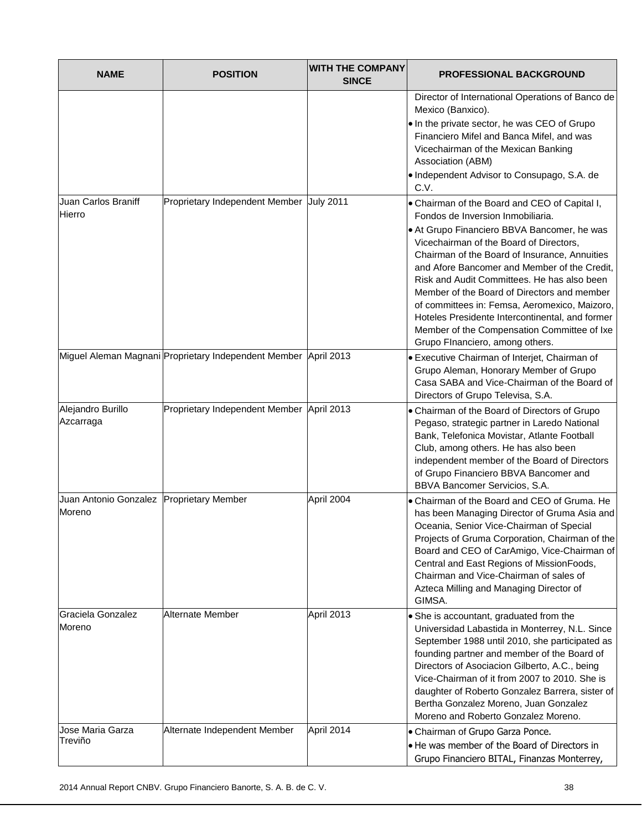| <b>NAME</b>                                          | <b>POSITION</b>                                                 | <b>WITH THE COMPANY</b><br><b>SINCE</b> | <b>PROFESSIONAL BACKGROUND</b>                                                                                                                                                                                                                                                                                                                                                                                                                                                                                                                                    |
|------------------------------------------------------|-----------------------------------------------------------------|-----------------------------------------|-------------------------------------------------------------------------------------------------------------------------------------------------------------------------------------------------------------------------------------------------------------------------------------------------------------------------------------------------------------------------------------------------------------------------------------------------------------------------------------------------------------------------------------------------------------------|
|                                                      |                                                                 |                                         | Director of International Operations of Banco de<br>Mexico (Banxico).<br>. In the private sector, he was CEO of Grupo<br>Financiero Mifel and Banca Mifel, and was<br>Vicechairman of the Mexican Banking<br>Association (ABM)<br>• Independent Advisor to Consupago, S.A. de<br>C.V.                                                                                                                                                                                                                                                                             |
| Juan Carlos Braniff<br>Hierro                        | Proprietary Independent Member July 2011                        |                                         | . Chairman of the Board and CEO of Capital I,<br>Fondos de Inversion Inmobiliaria.<br>• At Grupo Financiero BBVA Bancomer, he was<br>Vicechairman of the Board of Directors,<br>Chairman of the Board of Insurance, Annuities<br>and Afore Bancomer and Member of the Credit,<br>Risk and Audit Committees. He has also been<br>Member of the Board of Directors and member<br>of committees in: Femsa, Aeromexico, Maizoro,<br>Hoteles Presidente Intercontinental, and former<br>Member of the Compensation Committee of Ixe<br>Grupo FInanciero, among others. |
|                                                      | Miguel Aleman Magnani Proprietary Independent Member April 2013 |                                         | <b>• Executive Chairman of Interjet, Chairman of</b><br>Grupo Aleman, Honorary Member of Grupo<br>Casa SABA and Vice-Chairman of the Board of<br>Directors of Grupo Televisa, S.A.                                                                                                                                                                                                                                                                                                                                                                                |
| Alejandro Burillo<br>Azcarraga                       | Proprietary Independent Member April 2013                       |                                         | • Chairman of the Board of Directors of Grupo<br>Pegaso, strategic partner in Laredo National<br>Bank, Telefonica Movistar, Atlante Football<br>Club, among others. He has also been<br>independent member of the Board of Directors<br>of Grupo Financiero BBVA Bancomer and<br>BBVA Bancomer Servicios, S.A.                                                                                                                                                                                                                                                    |
| Juan Antonio Gonzalez   Proprietary Member<br>Moreno |                                                                 | April 2004                              | • Chairman of the Board and CEO of Gruma. He<br>has been Managing Director of Gruma Asia and<br>Oceania, Senior Vice-Chairman of Special<br>Projects of Gruma Corporation, Chairman of the<br>Board and CEO of CarAmigo, Vice-Chairman of<br>Central and East Regions of MissionFoods,<br>Chairman and Vice-Chairman of sales of<br>Azteca Milling and Managing Director of<br>GIMSA.                                                                                                                                                                             |
| Graciela Gonzalez<br>Moreno                          | Alternate Member                                                | April 2013                              | • She is accountant, graduated from the<br>Universidad Labastida in Monterrey, N.L. Since<br>September 1988 until 2010, she participated as<br>founding partner and member of the Board of<br>Directors of Asociacion Gilberto, A.C., being<br>Vice-Chairman of it from 2007 to 2010. She is<br>daughter of Roberto Gonzalez Barrera, sister of<br>Bertha Gonzalez Moreno, Juan Gonzalez<br>Moreno and Roberto Gonzalez Moreno.                                                                                                                                   |
| Jose Maria Garza<br>Treviño                          | Alternate Independent Member                                    | April 2014                              | • Chairman of Grupo Garza Ponce.<br>• He was member of the Board of Directors in<br>Grupo Financiero BITAL, Finanzas Monterrey,                                                                                                                                                                                                                                                                                                                                                                                                                                   |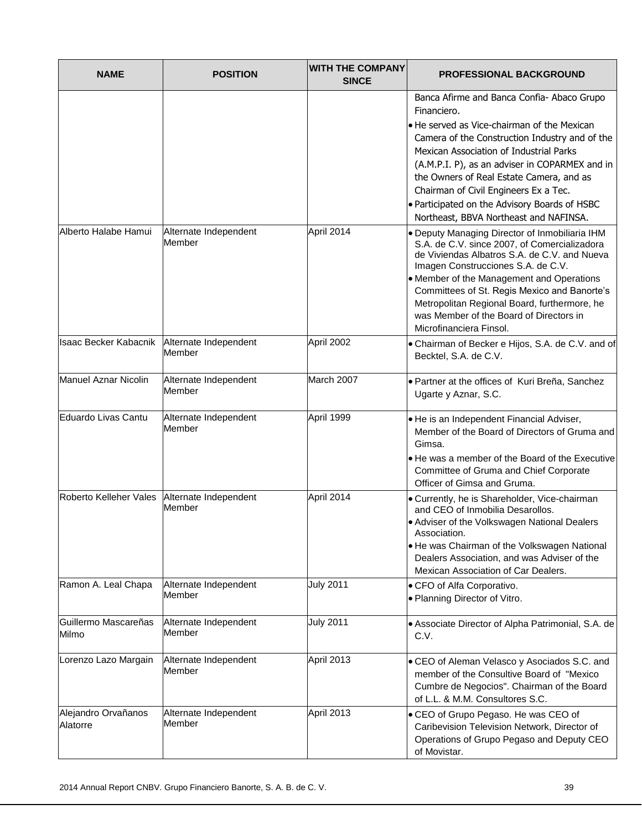| <b>NAME</b>                     | <b>POSITION</b>                 | <b>WITH THE COMPANY</b><br><b>SINCE</b> | <b>PROFESSIONAL BACKGROUND</b>                                                                                                                                                                                                                                                                                                                                                                                                          |
|---------------------------------|---------------------------------|-----------------------------------------|-----------------------------------------------------------------------------------------------------------------------------------------------------------------------------------------------------------------------------------------------------------------------------------------------------------------------------------------------------------------------------------------------------------------------------------------|
|                                 |                                 |                                         | Banca Afirme and Banca Confia- Abaco Grupo<br>Financiero.<br>• He served as Vice-chairman of the Mexican<br>Camera of the Construction Industry and of the<br>Mexican Association of Industrial Parks<br>(A.M.P.I. P), as an adviser in COPARMEX and in<br>the Owners of Real Estate Camera, and as<br>Chairman of Civil Engineers Ex a Tec.<br>. Participated on the Advisory Boards of HSBC<br>Northeast, BBVA Northeast and NAFINSA. |
| Alberto Halabe Hamui            | Alternate Independent<br>Member | April 2014                              | . Deputy Managing Director of Inmobiliaria IHM<br>S.A. de C.V. since 2007, of Comercializadora<br>de Viviendas Albatros S.A. de C.V. and Nueva<br>Imagen Construcciones S.A. de C.V.<br>• Member of the Management and Operations<br>Committees of St. Regis Mexico and Banorte's<br>Metropolitan Regional Board, furthermore, he<br>was Member of the Board of Directors in<br>Microfinanciera Finsol.                                 |
| <b>Isaac Becker Kabacnik</b>    | Alternate Independent<br>Member | April 2002                              | • Chairman of Becker e Hijos, S.A. de C.V. and of<br>Becktel, S.A. de C.V.                                                                                                                                                                                                                                                                                                                                                              |
| <b>Manuel Aznar Nicolin</b>     | Alternate Independent<br>Member | March 2007                              | · Partner at the offices of Kuri Breña, Sanchez<br>Ugarte y Aznar, S.C.                                                                                                                                                                                                                                                                                                                                                                 |
| Eduardo Livas Cantu             | Alternate Independent<br>Member | April 1999                              | · He is an Independent Financial Adviser,<br>Member of the Board of Directors of Gruma and<br>Gimsa.<br>. He was a member of the Board of the Executive<br>Committee of Gruma and Chief Corporate<br>Officer of Gimsa and Gruma.                                                                                                                                                                                                        |
| Roberto Kelleher Vales          | Alternate Independent<br>Member | April 2014                              | • Currently, he is Shareholder, Vice-chairman<br>and CEO of Inmobilia Desarollos.<br>• Adviser of the Volkswagen National Dealers<br>Association.<br>. He was Chairman of the Volkswagen National<br>Dealers Association, and was Adviser of the<br>Mexican Association of Car Dealers.                                                                                                                                                 |
| Ramon A. Leal Chapa             | Alternate Independent<br>Member | <b>July 2011</b>                        | • CFO of Alfa Corporativo.<br>. Planning Director of Vitro.                                                                                                                                                                                                                                                                                                                                                                             |
| Guillermo Mascareñas<br>Milmo   | Alternate Independent<br>Member | <b>July 2011</b>                        | • Associate Director of Alpha Patrimonial, S.A. de<br>C.V.                                                                                                                                                                                                                                                                                                                                                                              |
| Lorenzo Lazo Margain            | Alternate Independent<br>Member | April 2013                              | • CEO of Aleman Velasco y Asociados S.C. and<br>member of the Consultive Board of "Mexico<br>Cumbre de Negocios". Chairman of the Board<br>of L.L. & M.M. Consultores S.C.                                                                                                                                                                                                                                                              |
| Alejandro Orvañanos<br>Alatorre | Alternate Independent<br>Member | April 2013                              | • CEO of Grupo Pegaso. He was CEO of<br>Caribevision Television Network, Director of<br>Operations of Grupo Pegaso and Deputy CEO<br>of Movistar.                                                                                                                                                                                                                                                                                       |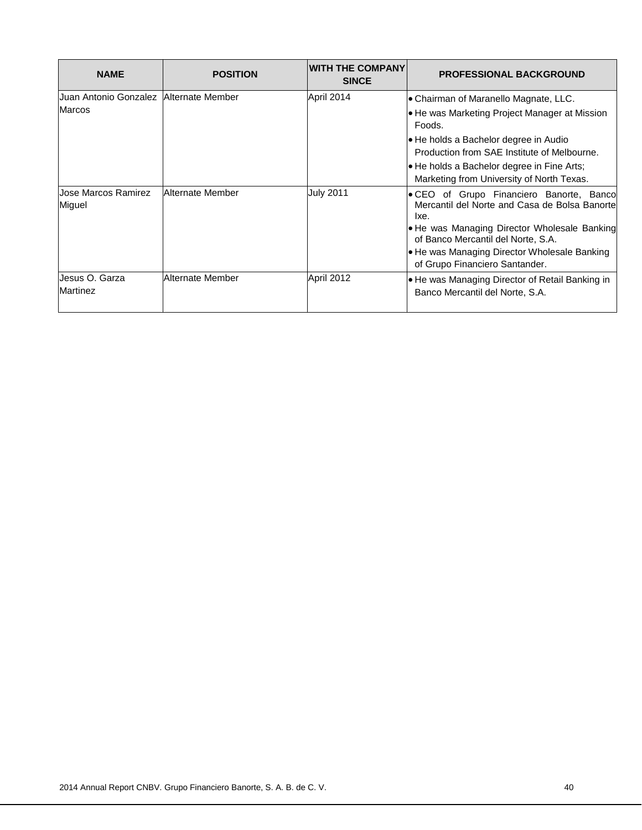| <b>NAME</b>                              | <b>POSITION</b>  | <b>WITH THE COMPANY</b><br><b>SINCE</b> | <b>PROFESSIONAL BACKGROUND</b>                                                                    |
|------------------------------------------|------------------|-----------------------------------------|---------------------------------------------------------------------------------------------------|
| Juan Antonio Gonzalez   Alternate Member |                  | April 2014                              | • Chairman of Maranello Magnate, LLC.                                                             |
| <b>Marcos</b>                            |                  |                                         | • He was Marketing Project Manager at Mission<br>Foods.                                           |
|                                          |                  |                                         | • He holds a Bachelor degree in Audio<br>Production from SAE Institute of Melbourne.              |
|                                          |                  |                                         | • He holds a Bachelor degree in Fine Arts;<br>Marketing from University of North Texas.           |
| Jose Marcos Ramirez<br>Miguel            | Alternate Member | <b>July 2011</b>                        | • CEO of Grupo Financiero Banorte, Banco<br>Mercantil del Norte and Casa de Bolsa Banorte<br>Ixe. |
|                                          |                  |                                         | • He was Managing Director Wholesale Banking<br>of Banco Mercantil del Norte, S.A.                |
|                                          |                  |                                         | • He was Managing Director Wholesale Banking<br>of Grupo Financiero Santander.                    |
| Jesus O. Garza<br>Martinez               | Alternate Member | April 2012                              | . He was Managing Director of Retail Banking in<br>Banco Mercantil del Norte, S.A.                |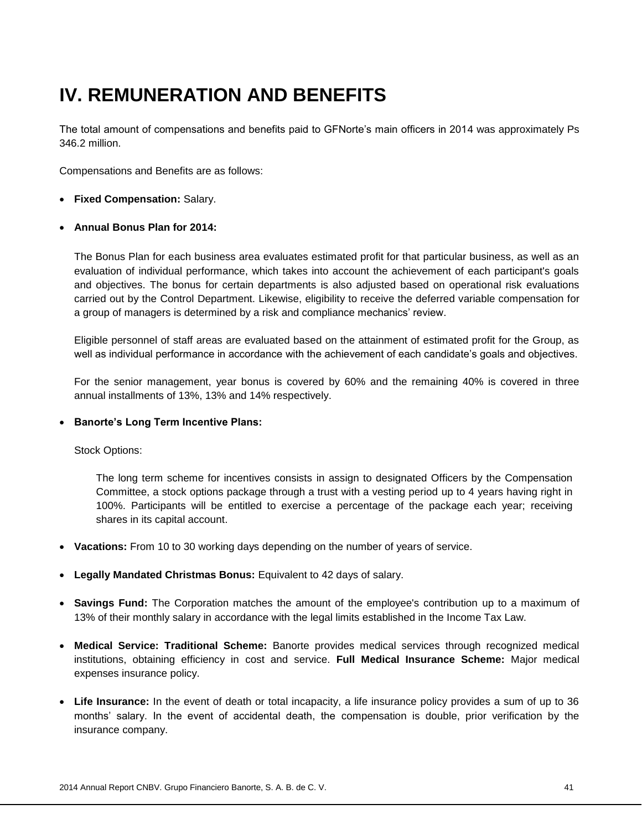# **IV. REMUNERATION AND BENEFITS**

The total amount of compensations and benefits paid to GFNorte's main officers in 2014 was approximately Ps 346.2 million.

Compensations and Benefits are as follows:

- **Fixed Compensation:** Salary.
- **Annual Bonus Plan for 2014:**

The Bonus Plan for each business area evaluates estimated profit for that particular business, as well as an evaluation of individual performance, which takes into account the achievement of each participant's goals and objectives. The bonus for certain departments is also adjusted based on operational risk evaluations carried out by the Control Department. Likewise, eligibility to receive the deferred variable compensation for a group of managers is determined by a risk and compliance mechanics' review.

Eligible personnel of staff areas are evaluated based on the attainment of estimated profit for the Group, as well as individual performance in accordance with the achievement of each candidate's goals and objectives.

For the senior management, year bonus is covered by 60% and the remaining 40% is covered in three annual installments of 13%, 13% and 14% respectively.

### **Banorte's Long Term Incentive Plans:**

Stock Options:

The long term scheme for incentives consists in assign to designated Officers by the Compensation Committee, a stock options package through a trust with a vesting period up to 4 years having right in 100%. Participants will be entitled to exercise a percentage of the package each year; receiving shares in its capital account.

- **Vacations:** From 10 to 30 working days depending on the number of years of service.
- **Legally Mandated Christmas Bonus:** Equivalent to 42 days of salary.
- **Savings Fund:** The Corporation matches the amount of the employee's contribution up to a maximum of 13% of their monthly salary in accordance with the legal limits established in the Income Tax Law.
- **Medical Service: Traditional Scheme:** Banorte provides medical services through recognized medical institutions, obtaining efficiency in cost and service. **Full Medical Insurance Scheme:** Major medical expenses insurance policy.
- **Life Insurance:** In the event of death or total incapacity, a life insurance policy provides a sum of up to 36 months' salary. In the event of accidental death, the compensation is double, prior verification by the insurance company.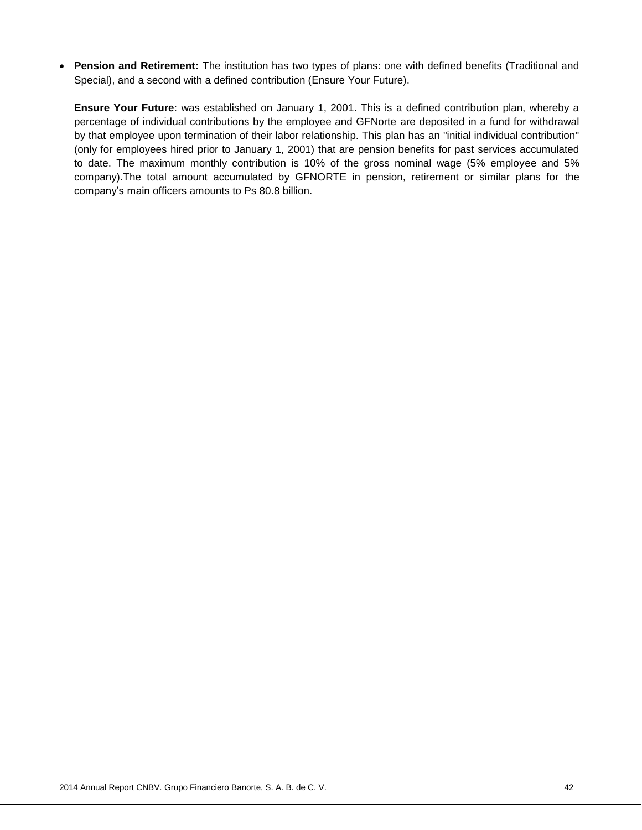**Pension and Retirement:** The institution has two types of plans: one with defined benefits (Traditional and Special), and a second with a defined contribution (Ensure Your Future).

**Ensure Your Future**: was established on January 1, 2001. This is a defined contribution plan, whereby a percentage of individual contributions by the employee and GFNorte are deposited in a fund for withdrawal by that employee upon termination of their labor relationship. This plan has an "initial individual contribution" (only for employees hired prior to January 1, 2001) that are pension benefits for past services accumulated to date. The maximum monthly contribution is 10% of the gross nominal wage (5% employee and 5% company).The total amount accumulated by GFNORTE in pension, retirement or similar plans for the company's main officers amounts to Ps 80.8 billion.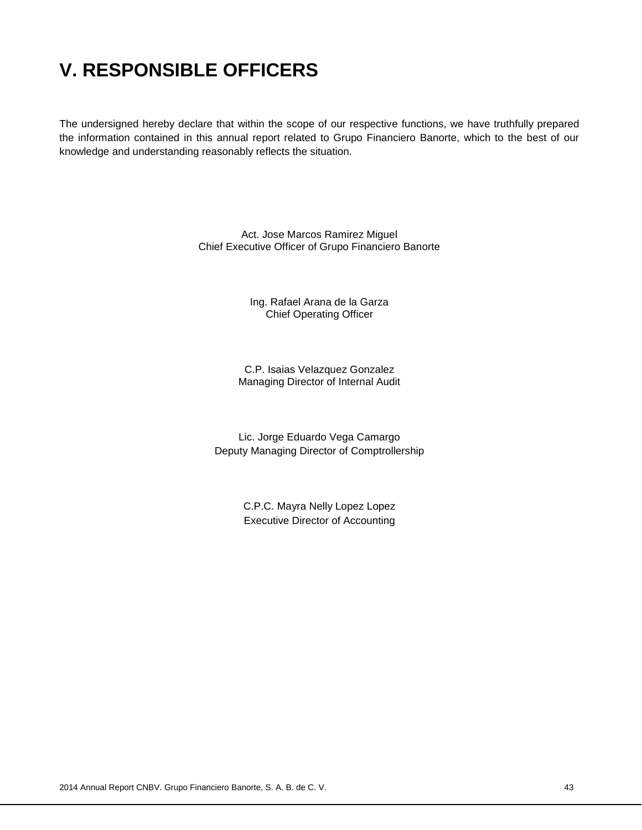# **V. RESPONSIBLE OFFICERS**

The undersigned hereby declare that within the scope of our respective functions, we have truthfully prepared the information contained in this annual report related to Grupo Financiero Banorte, which to the best of our knowledge and understanding reasonably reflects the situation.

> Act. Jose Marcos Ramirez Miguel Chief Executive Officer of Grupo Financiero Banorte

> > Ing. Rafael Arana de la Garza Chief Operating Officer

C.P. Isaias Velazquez Gonzalez Managing Director of Internal Audit

Lic. Jorge Eduardo Vega Camargo Deputy Managing Director of Comptrollership

> C.P.C. Mayra Nelly Lopez Lopez Executive Director of Accounting